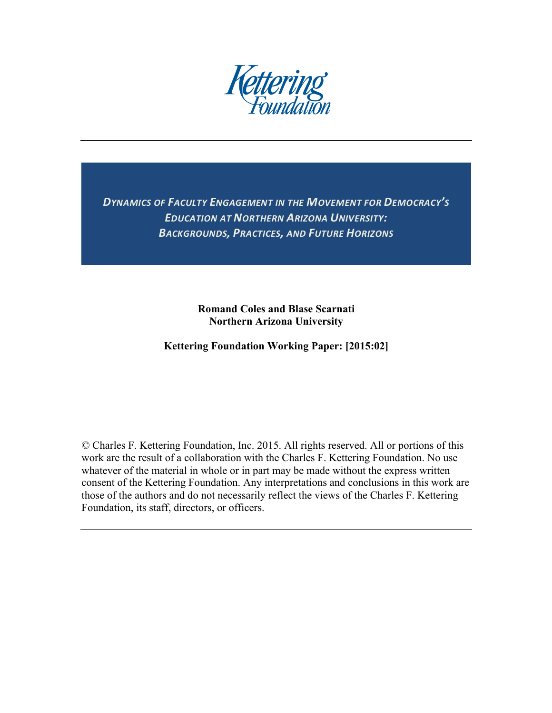

**DYNAMICS OF FACULTY ENGAGEMENT IN THE MOVEMENT FOR DEMOCRACY'S EDUCATION AT NORTHERN ARIZONA UNIVERSITY: BACKGROUNDS, PRACTICES, AND FUTURE HORIZONS** 

> **Romand Coles and Blase Scarnati Northern Arizona University**

**Kettering Foundation Working Paper: [2015:02]**

© Charles F. Kettering Foundation, Inc. 2015. All rights reserved. All or portions of this work are the result of a collaboration with the Charles F. Kettering Foundation. No use whatever of the material in whole or in part may be made without the express written consent of the Kettering Foundation. Any interpretations and conclusions in this work are those of the authors and do not necessarily reflect the views of the Charles F. Kettering Foundation, its staff, directors, or officers.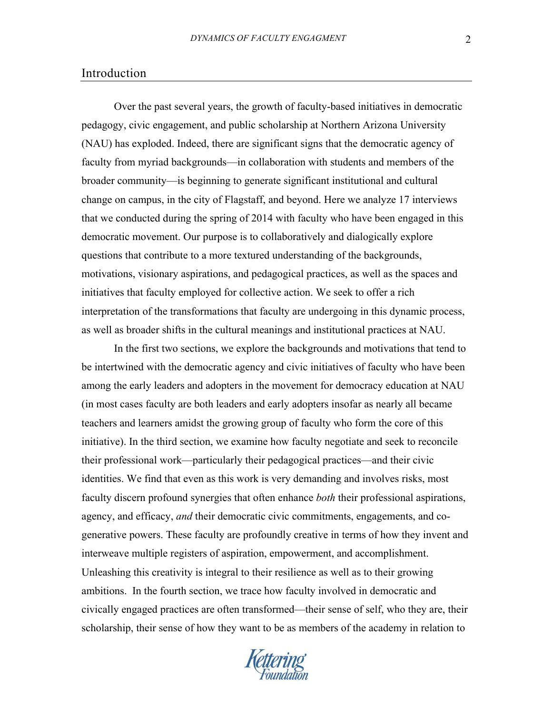### Introduction

Over the past several years, the growth of faculty-based initiatives in democratic pedagogy, civic engagement, and public scholarship at Northern Arizona University (NAU) has exploded. Indeed, there are significant signs that the democratic agency of faculty from myriad backgrounds—in collaboration with students and members of the broader community—is beginning to generate significant institutional and cultural change on campus, in the city of Flagstaff, and beyond. Here we analyze 17 interviews that we conducted during the spring of 2014 with faculty who have been engaged in this democratic movement. Our purpose is to collaboratively and dialogically explore questions that contribute to a more textured understanding of the backgrounds, motivations, visionary aspirations, and pedagogical practices, as well as the spaces and initiatives that faculty employed for collective action. We seek to offer a rich interpretation of the transformations that faculty are undergoing in this dynamic process, as well as broader shifts in the cultural meanings and institutional practices at NAU.

 In the first two sections, we explore the backgrounds and motivations that tend to be intertwined with the democratic agency and civic initiatives of faculty who have been among the early leaders and adopters in the movement for democracy education at NAU (in most cases faculty are both leaders and early adopters insofar as nearly all became teachers and learners amidst the growing group of faculty who form the core of this initiative). In the third section, we examine how faculty negotiate and seek to reconcile their professional work—particularly their pedagogical practices—and their civic identities. We find that even as this work is very demanding and involves risks, most faculty discern profound synergies that often enhance *both* their professional aspirations, agency, and efficacy, *and* their democratic civic commitments, engagements, and cogenerative powers. These faculty are profoundly creative in terms of how they invent and interweave multiple registers of aspiration, empowerment, and accomplishment. Unleashing this creativity is integral to their resilience as well as to their growing ambitions. In the fourth section, we trace how faculty involved in democratic and civically engaged practices are often transformed—their sense of self, who they are, their scholarship, their sense of how they want to be as members of the academy in relation to

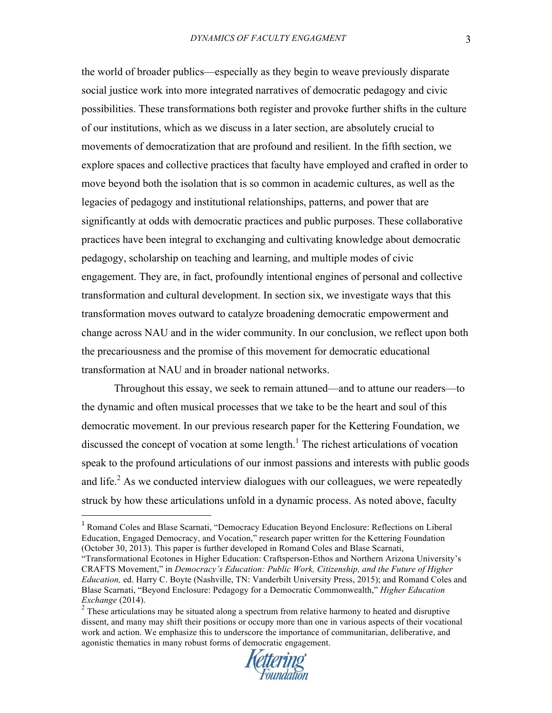the world of broader publics—especially as they begin to weave previously disparate social justice work into more integrated narratives of democratic pedagogy and civic possibilities. These transformations both register and provoke further shifts in the culture of our institutions, which as we discuss in a later section, are absolutely crucial to movements of democratization that are profound and resilient. In the fifth section, we explore spaces and collective practices that faculty have employed and crafted in order to move beyond both the isolation that is so common in academic cultures, as well as the legacies of pedagogy and institutional relationships, patterns, and power that are significantly at odds with democratic practices and public purposes. These collaborative practices have been integral to exchanging and cultivating knowledge about democratic pedagogy, scholarship on teaching and learning, and multiple modes of civic engagement. They are, in fact, profoundly intentional engines of personal and collective transformation and cultural development. In section six, we investigate ways that this transformation moves outward to catalyze broadening democratic empowerment and change across NAU and in the wider community. In our conclusion, we reflect upon both the precariousness and the promise of this movement for democratic educational transformation at NAU and in broader national networks.

 Throughout this essay, we seek to remain attuned—and to attune our readers—to the dynamic and often musical processes that we take to be the heart and soul of this democratic movement. In our previous research paper for the Kettering Foundation, we discussed the concept of vocation at some length.<sup>1</sup> The richest articulations of vocation speak to the profound articulations of our inmost passions and interests with public goods and life.<sup>2</sup> As we conducted interview dialogues with our colleagues, we were repeatedly struck by how these articulations unfold in a dynamic process. As noted above, faculty

!!!!!!!!!!!!!!!!!!!!!!!!!!!!!!!!!!!!!!!!!!!!!!!!!!!!!!!

<sup>&</sup>lt;sup>2</sup> These articulations may be situated along a spectrum from relative harmony to heated and disruptive dissent, and many may shift their positions or occupy more than one in various aspects of their vocational work and action. We emphasize this to underscore the importance of communitarian, deliberative, and agonistic thematics in many robust forms of democratic engagement.



<sup>1</sup> Romand Coles and Blase Scarnati, "Democracy Education Beyond Enclosure: Reflections on Liberal Education, Engaged Democracy, and Vocation," research paper written for the Kettering Foundation (October 30, 2013). This paper is further developed in Romand Coles and Blase Scarnati,

<sup>&</sup>quot;Transformational Ecotones in Higher Education: Craftsperson-Ethos and Northern Arizona University's CRAFTS Movement," in *Democracy's Education: Public Work, Citizenship, and the Future of Higher Education,* ed. Harry C. Boyte (Nashville, TN: Vanderbilt University Press, 2015); and Romand Coles and Blase Scarnati, "Beyond Enclosure: Pedagogy for a Democratic Commonwealth," *Higher Education Exchange* (2014).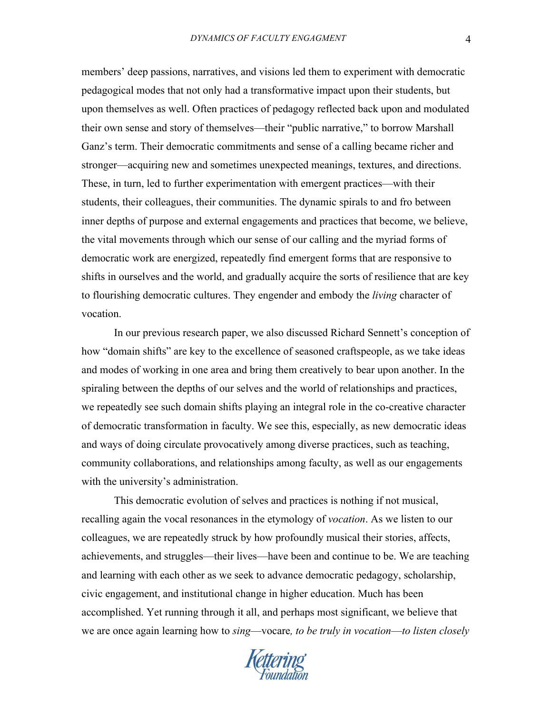members' deep passions, narratives, and visions led them to experiment with democratic pedagogical modes that not only had a transformative impact upon their students, but upon themselves as well. Often practices of pedagogy reflected back upon and modulated their own sense and story of themselves—their "public narrative," to borrow Marshall Ganz's term. Their democratic commitments and sense of a calling became richer and stronger—acquiring new and sometimes unexpected meanings, textures, and directions. These, in turn, led to further experimentation with emergent practices—with their students, their colleagues, their communities. The dynamic spirals to and fro between inner depths of purpose and external engagements and practices that become, we believe, the vital movements through which our sense of our calling and the myriad forms of democratic work are energized, repeatedly find emergent forms that are responsive to shifts in ourselves and the world, and gradually acquire the sorts of resilience that are key to flourishing democratic cultures. They engender and embody the *living* character of vocation.

In our previous research paper, we also discussed Richard Sennett's conception of how "domain shifts" are key to the excellence of seasoned craftspeople, as we take ideas and modes of working in one area and bring them creatively to bear upon another. In the spiraling between the depths of our selves and the world of relationships and practices, we repeatedly see such domain shifts playing an integral role in the co-creative character of democratic transformation in faculty. We see this, especially, as new democratic ideas and ways of doing circulate provocatively among diverse practices, such as teaching, community collaborations, and relationships among faculty, as well as our engagements with the university's administration.

This democratic evolution of selves and practices is nothing if not musical, recalling again the vocal resonances in the etymology of *vocation*. As we listen to our colleagues, we are repeatedly struck by how profoundly musical their stories, affects, achievements, and struggles—their lives—have been and continue to be. We are teaching and learning with each other as we seek to advance democratic pedagogy, scholarship, civic engagement, and institutional change in higher education. Much has been accomplished. Yet running through it all, and perhaps most significant, we believe that we are once again learning how to *sing*—vocare*, to be truly in vocation*—*to listen closely* 

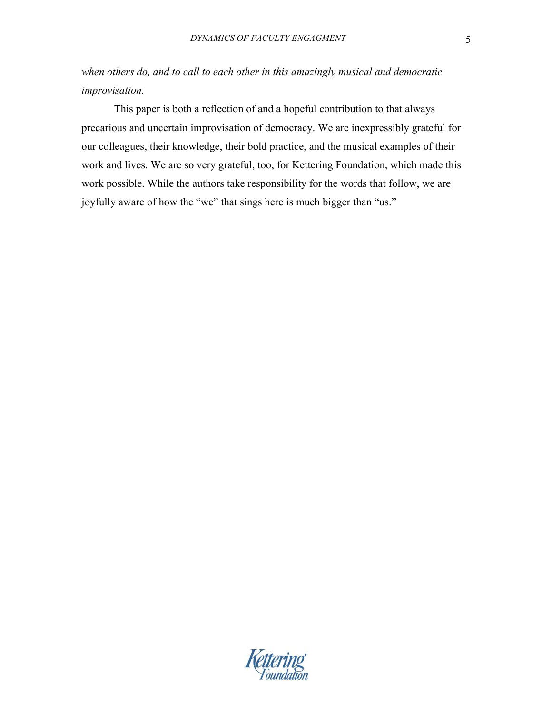*when others do, and to call to each other in this amazingly musical and democratic improvisation.* 

This paper is both a reflection of and a hopeful contribution to that always precarious and uncertain improvisation of democracy. We are inexpressibly grateful for our colleagues, their knowledge, their bold practice, and the musical examples of their work and lives. We are so very grateful, too, for Kettering Foundation, which made this work possible. While the authors take responsibility for the words that follow, we are joyfully aware of how the "we" that sings here is much bigger than "us."

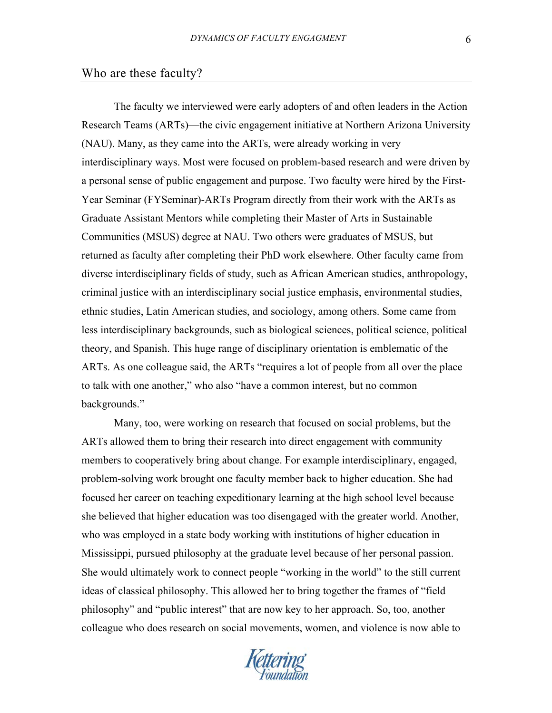#### Who are these faculty?

The faculty we interviewed were early adopters of and often leaders in the Action Research Teams (ARTs)—the civic engagement initiative at Northern Arizona University (NAU). Many, as they came into the ARTs, were already working in very interdisciplinary ways. Most were focused on problem-based research and were driven by a personal sense of public engagement and purpose. Two faculty were hired by the First-Year Seminar (FYSeminar)-ARTs Program directly from their work with the ARTs as Graduate Assistant Mentors while completing their Master of Arts in Sustainable Communities (MSUS) degree at NAU. Two others were graduates of MSUS, but returned as faculty after completing their PhD work elsewhere. Other faculty came from diverse interdisciplinary fields of study, such as African American studies, anthropology, criminal justice with an interdisciplinary social justice emphasis, environmental studies, ethnic studies, Latin American studies, and sociology, among others. Some came from less interdisciplinary backgrounds, such as biological sciences, political science, political theory, and Spanish. This huge range of disciplinary orientation is emblematic of the ARTs. As one colleague said, the ARTs "requires a lot of people from all over the place to talk with one another," who also "have a common interest, but no common backgrounds."

Many, too, were working on research that focused on social problems, but the ARTs allowed them to bring their research into direct engagement with community members to cooperatively bring about change. For example interdisciplinary, engaged, problem-solving work brought one faculty member back to higher education. She had focused her career on teaching expeditionary learning at the high school level because she believed that higher education was too disengaged with the greater world. Another, who was employed in a state body working with institutions of higher education in Mississippi, pursued philosophy at the graduate level because of her personal passion. She would ultimately work to connect people "working in the world" to the still current ideas of classical philosophy. This allowed her to bring together the frames of "field philosophy" and "public interest" that are now key to her approach. So, too, another colleague who does research on social movements, women, and violence is now able to

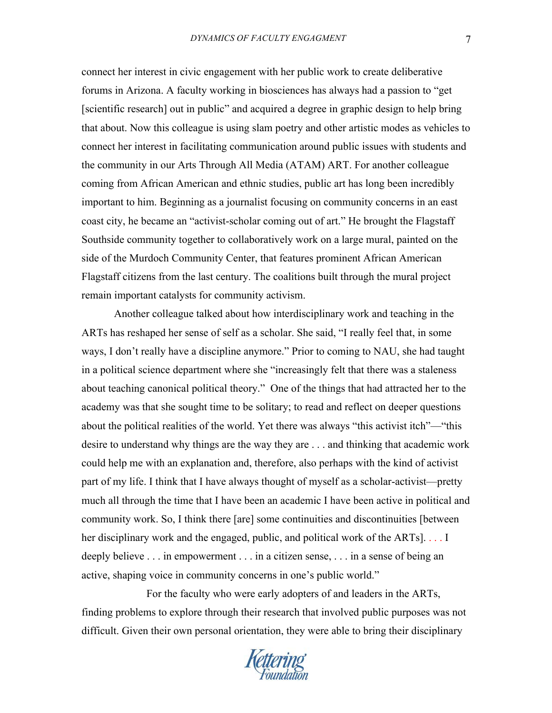connect her interest in civic engagement with her public work to create deliberative forums in Arizona. A faculty working in biosciences has always had a passion to "get [scientific research] out in public" and acquired a degree in graphic design to help bring that about. Now this colleague is using slam poetry and other artistic modes as vehicles to connect her interest in facilitating communication around public issues with students and the community in our Arts Through All Media (ATAM) ART. For another colleague coming from African American and ethnic studies, public art has long been incredibly important to him. Beginning as a journalist focusing on community concerns in an east coast city, he became an "activist-scholar coming out of art." He brought the Flagstaff Southside community together to collaboratively work on a large mural, painted on the side of the Murdoch Community Center, that features prominent African American Flagstaff citizens from the last century. The coalitions built through the mural project remain important catalysts for community activism.

Another colleague talked about how interdisciplinary work and teaching in the ARTs has reshaped her sense of self as a scholar. She said, "I really feel that, in some ways, I don't really have a discipline anymore." Prior to coming to NAU, she had taught in a political science department where she "increasingly felt that there was a staleness about teaching canonical political theory." One of the things that had attracted her to the academy was that she sought time to be solitary; to read and reflect on deeper questions about the political realities of the world. Yet there was always "this activist itch"—"this desire to understand why things are the way they are . . . and thinking that academic work could help me with an explanation and, therefore, also perhaps with the kind of activist part of my life. I think that I have always thought of myself as a scholar-activist—pretty much all through the time that I have been an academic I have been active in political and community work. So, I think there [are] some continuities and discontinuities [between her disciplinary work and the engaged, public, and political work of the ARTs.... I deeply believe . . . in empowerment . . . in a citizen sense, . . . in a sense of being an active, shaping voice in community concerns in one's public world."

 For the faculty who were early adopters of and leaders in the ARTs, finding problems to explore through their research that involved public purposes was not difficult. Given their own personal orientation, they were able to bring their disciplinary

**Kettering**<br>Foundation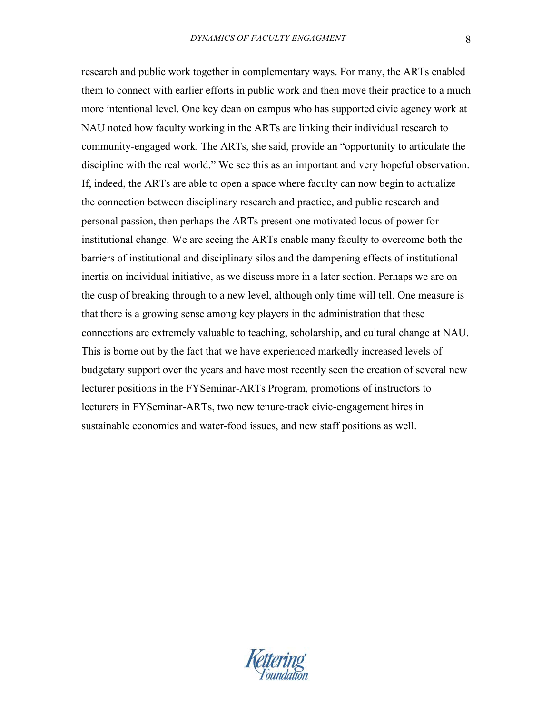research and public work together in complementary ways. For many, the ARTs enabled them to connect with earlier efforts in public work and then move their practice to a much more intentional level. One key dean on campus who has supported civic agency work at NAU noted how faculty working in the ARTs are linking their individual research to community-engaged work. The ARTs, she said, provide an "opportunity to articulate the discipline with the real world." We see this as an important and very hopeful observation. If, indeed, the ARTs are able to open a space where faculty can now begin to actualize the connection between disciplinary research and practice, and public research and personal passion, then perhaps the ARTs present one motivated locus of power for institutional change. We are seeing the ARTs enable many faculty to overcome both the barriers of institutional and disciplinary silos and the dampening effects of institutional inertia on individual initiative, as we discuss more in a later section. Perhaps we are on the cusp of breaking through to a new level, although only time will tell. One measure is that there is a growing sense among key players in the administration that these connections are extremely valuable to teaching, scholarship, and cultural change at NAU. This is borne out by the fact that we have experienced markedly increased levels of budgetary support over the years and have most recently seen the creation of several new lecturer positions in the FYSeminar-ARTs Program, promotions of instructors to lecturers in FYSeminar-ARTs, two new tenure-track civic-engagement hires in sustainable economics and water-food issues, and new staff positions as well.

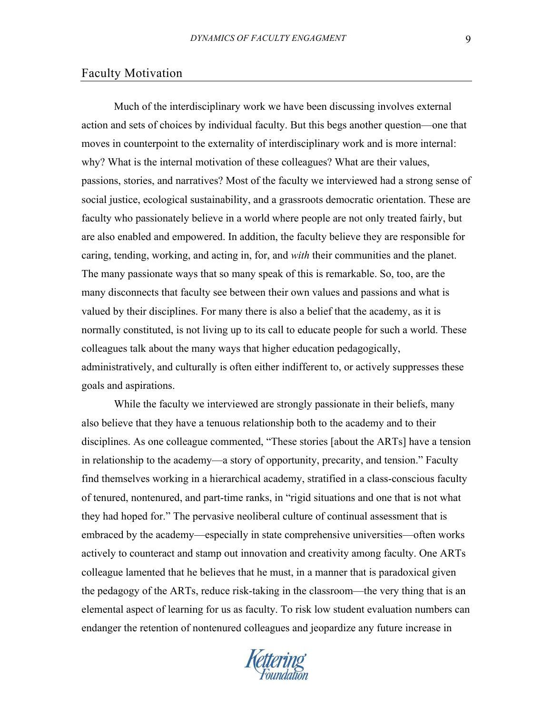## Faculty Motivation

Much of the interdisciplinary work we have been discussing involves external action and sets of choices by individual faculty. But this begs another question—one that moves in counterpoint to the externality of interdisciplinary work and is more internal: why? What is the internal motivation of these colleagues? What are their values, passions, stories, and narratives? Most of the faculty we interviewed had a strong sense of social justice, ecological sustainability, and a grassroots democratic orientation. These are faculty who passionately believe in a world where people are not only treated fairly, but are also enabled and empowered. In addition, the faculty believe they are responsible for caring, tending, working, and acting in, for, and *with* their communities and the planet. The many passionate ways that so many speak of this is remarkable. So, too, are the many disconnects that faculty see between their own values and passions and what is valued by their disciplines. For many there is also a belief that the academy, as it is normally constituted, is not living up to its call to educate people for such a world. These colleagues talk about the many ways that higher education pedagogically, administratively, and culturally is often either indifferent to, or actively suppresses these goals and aspirations.

While the faculty we interviewed are strongly passionate in their beliefs, many also believe that they have a tenuous relationship both to the academy and to their disciplines. As one colleague commented, "These stories [about the ARTs] have a tension in relationship to the academy—a story of opportunity, precarity, and tension." Faculty find themselves working in a hierarchical academy, stratified in a class-conscious faculty of tenured, nontenured, and part-time ranks, in "rigid situations and one that is not what they had hoped for." The pervasive neoliberal culture of continual assessment that is embraced by the academy—especially in state comprehensive universities—often works actively to counteract and stamp out innovation and creativity among faculty. One ARTs colleague lamented that he believes that he must, in a manner that is paradoxical given the pedagogy of the ARTs, reduce risk-taking in the classroom—the very thing that is an elemental aspect of learning for us as faculty. To risk low student evaluation numbers can endanger the retention of nontenured colleagues and jeopardize any future increase in

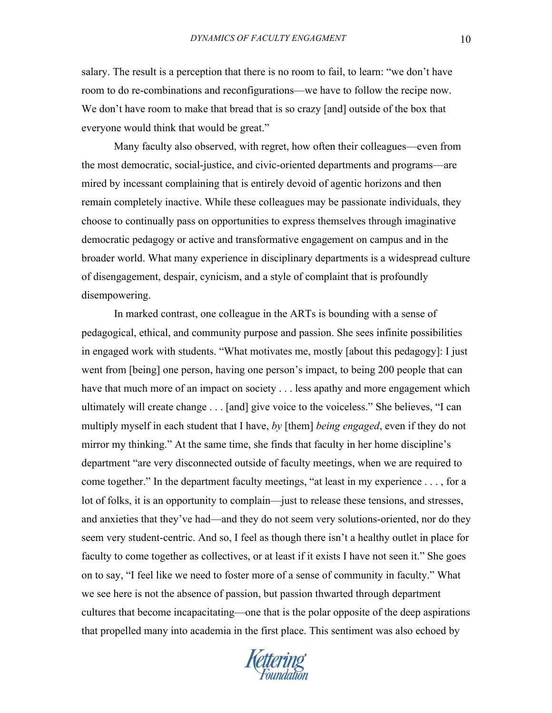salary. The result is a perception that there is no room to fail, to learn: "we don't have room to do re-combinations and reconfigurations—we have to follow the recipe now. We don't have room to make that bread that is so crazy [and] outside of the box that everyone would think that would be great."

Many faculty also observed, with regret, how often their colleagues—even from the most democratic, social-justice, and civic-oriented departments and programs—are mired by incessant complaining that is entirely devoid of agentic horizons and then remain completely inactive. While these colleagues may be passionate individuals, they choose to continually pass on opportunities to express themselves through imaginative democratic pedagogy or active and transformative engagement on campus and in the broader world. What many experience in disciplinary departments is a widespread culture of disengagement, despair, cynicism, and a style of complaint that is profoundly disempowering.

 In marked contrast, one colleague in the ARTs is bounding with a sense of pedagogical, ethical, and community purpose and passion. She sees infinite possibilities in engaged work with students. "What motivates me, mostly [about this pedagogy]: I just went from [being] one person, having one person's impact, to being 200 people that can have that much more of an impact on society . . . less apathy and more engagement which ultimately will create change . . . [and] give voice to the voiceless." She believes, "I can multiply myself in each student that I have, *by* [them] *being engaged*, even if they do not mirror my thinking." At the same time, she finds that faculty in her home discipline's department "are very disconnected outside of faculty meetings, when we are required to come together." In the department faculty meetings, "at least in my experience . . . , for a lot of folks, it is an opportunity to complain—just to release these tensions, and stresses, and anxieties that they've had—and they do not seem very solutions-oriented, nor do they seem very student-centric. And so, I feel as though there isn't a healthy outlet in place for faculty to come together as collectives, or at least if it exists I have not seen it." She goes on to say, "I feel like we need to foster more of a sense of community in faculty." What we see here is not the absence of passion, but passion thwarted through department cultures that become incapacitating—one that is the polar opposite of the deep aspirations that propelled many into academia in the first place. This sentiment was also echoed by

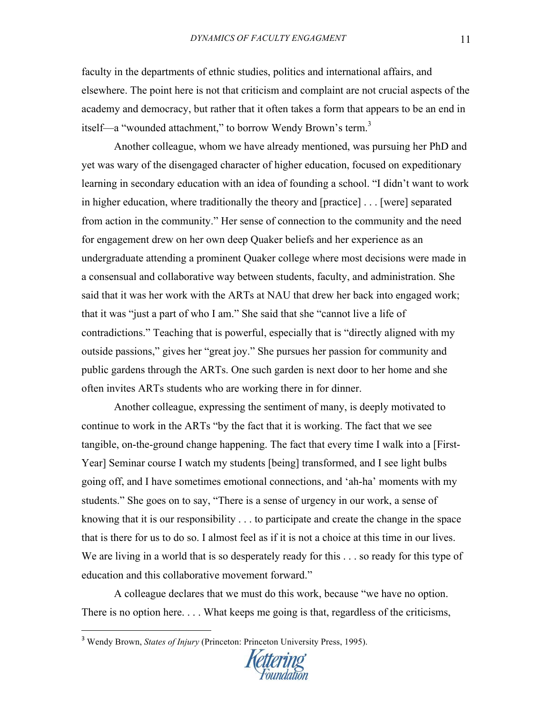faculty in the departments of ethnic studies, politics and international affairs, and elsewhere. The point here is not that criticism and complaint are not crucial aspects of the academy and democracy, but rather that it often takes a form that appears to be an end in itself—a "wounded attachment," to borrow Wendy Brown's term.<sup>3</sup>

 Another colleague, whom we have already mentioned, was pursuing her PhD and yet was wary of the disengaged character of higher education, focused on expeditionary learning in secondary education with an idea of founding a school. "I didn't want to work in higher education, where traditionally the theory and [practice] . . . [were] separated from action in the community." Her sense of connection to the community and the need for engagement drew on her own deep Quaker beliefs and her experience as an undergraduate attending a prominent Quaker college where most decisions were made in a consensual and collaborative way between students, faculty, and administration. She said that it was her work with the ARTs at NAU that drew her back into engaged work; that it was "just a part of who I am." She said that she "cannot live a life of contradictions." Teaching that is powerful, especially that is "directly aligned with my outside passions," gives her "great joy." She pursues her passion for community and public gardens through the ARTs. One such garden is next door to her home and she often invites ARTs students who are working there in for dinner.

Another colleague, expressing the sentiment of many, is deeply motivated to continue to work in the ARTs "by the fact that it is working. The fact that we see tangible, on-the-ground change happening. The fact that every time I walk into a [First-Year] Seminar course I watch my students [being] transformed, and I see light bulbs going off, and I have sometimes emotional connections, and 'ah-ha' moments with my students." She goes on to say, "There is a sense of urgency in our work, a sense of knowing that it is our responsibility . . . to participate and create the change in the space that is there for us to do so. I almost feel as if it is not a choice at this time in our lives. We are living in a world that is so desperately ready for this . . . so ready for this type of education and this collaborative movement forward."

A colleague declares that we must do this work, because "we have no option. There is no option here. . . . What keeps me going is that, regardless of the criticisms,

!!!!!!!!!!!!!!!!!!!!!!!!!!!!!!!!!!!!!!!!!!!!!!!!!!!!!!!



<sup>&</sup>lt;sup>3</sup> Wendy Brown, *States of Injury* (Princeton: Princeton University Press, 1995).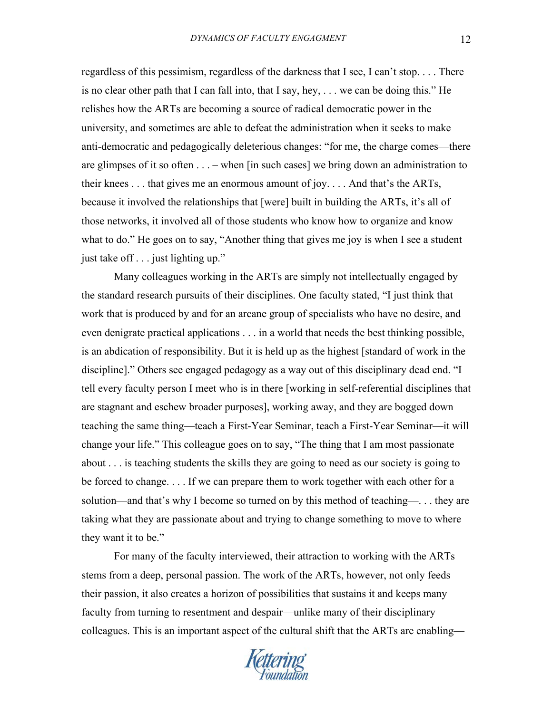regardless of this pessimism, regardless of the darkness that I see, I can't stop. . . . There is no clear other path that I can fall into, that I say, hey,  $\dots$  we can be doing this." He relishes how the ARTs are becoming a source of radical democratic power in the university, and sometimes are able to defeat the administration when it seeks to make anti-democratic and pedagogically deleterious changes: "for me, the charge comes—there are glimpses of it so often . . . – when [in such cases] we bring down an administration to their knees . . . that gives me an enormous amount of joy. . . . And that's the ARTs, because it involved the relationships that [were] built in building the ARTs, it's all of those networks, it involved all of those students who know how to organize and know what to do." He goes on to say, "Another thing that gives me joy is when I see a student just take off . . . just lighting up."

 Many colleagues working in the ARTs are simply not intellectually engaged by the standard research pursuits of their disciplines. One faculty stated, "I just think that work that is produced by and for an arcane group of specialists who have no desire, and even denigrate practical applications . . . in a world that needs the best thinking possible, is an abdication of responsibility. But it is held up as the highest [standard of work in the discipline]." Others see engaged pedagogy as a way out of this disciplinary dead end. "I tell every faculty person I meet who is in there [working in self-referential disciplines that are stagnant and eschew broader purposes], working away, and they are bogged down teaching the same thing—teach a First-Year Seminar, teach a First-Year Seminar—it will change your life." This colleague goes on to say, "The thing that I am most passionate about . . . is teaching students the skills they are going to need as our society is going to be forced to change. . . . If we can prepare them to work together with each other for a solution—and that's why I become so turned on by this method of teaching—. . . they are taking what they are passionate about and trying to change something to move to where they want it to be."

For many of the faculty interviewed, their attraction to working with the ARTs stems from a deep, personal passion. The work of the ARTs, however, not only feeds their passion, it also creates a horizon of possibilities that sustains it and keeps many faculty from turning to resentment and despair—unlike many of their disciplinary colleagues. This is an important aspect of the cultural shift that the ARTs are enabling—

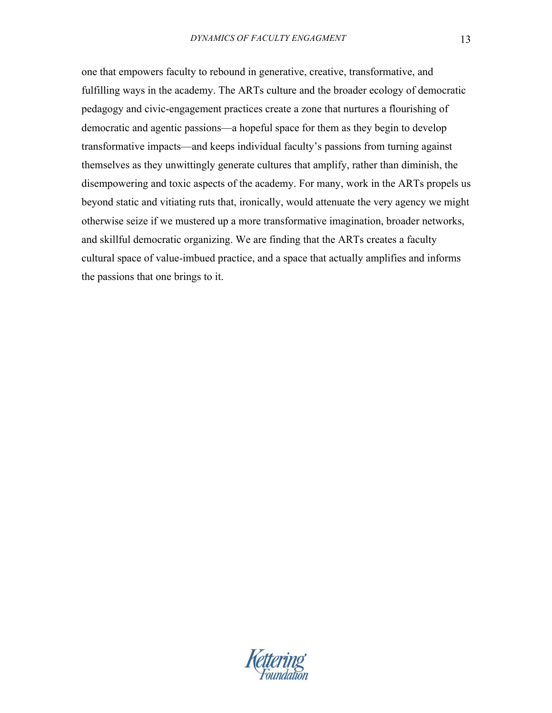one that empowers faculty to rebound in generative, creative, transformative, and fulfilling ways in the academy. The ARTs culture and the broader ecology of democratic pedagogy and civic-engagement practices create a zone that nurtures a flourishing of democratic and agentic passions—a hopeful space for them as they begin to develop transformative impacts—and keeps individual faculty's passions from turning against themselves as they unwittingly generate cultures that amplify, rather than diminish, the disempowering and toxic aspects of the academy. For many, work in the ARTs propels us beyond static and vitiating ruts that, ironically, would attenuate the very agency we might otherwise seize if we mustered up a more transformative imagination, broader networks, and skillful democratic organizing. We are finding that the ARTs creates a faculty cultural space of value-imbued practice, and a space that actually amplifies and informs the passions that one brings to it.

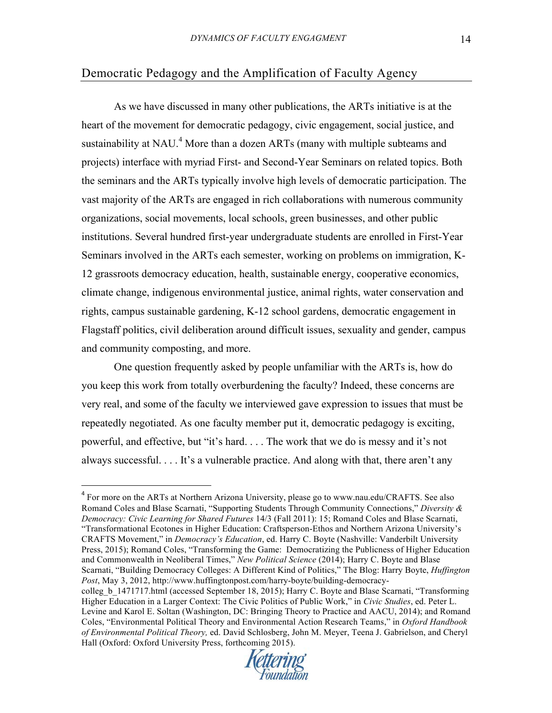# Democratic Pedagogy and the Amplification of Faculty Agency

As we have discussed in many other publications, the ARTs initiative is at the heart of the movement for democratic pedagogy, civic engagement, social justice, and sustainability at NAU.<sup>4</sup> More than a dozen ARTs (many with multiple subteams and projects) interface with myriad First- and Second-Year Seminars on related topics. Both the seminars and the ARTs typically involve high levels of democratic participation. The vast majority of the ARTs are engaged in rich collaborations with numerous community organizations, social movements, local schools, green businesses, and other public institutions. Several hundred first-year undergraduate students are enrolled in First-Year Seminars involved in the ARTs each semester, working on problems on immigration, K-12 grassroots democracy education, health, sustainable energy, cooperative economics, climate change, indigenous environmental justice, animal rights, water conservation and rights, campus sustainable gardening, K-12 school gardens, democratic engagement in Flagstaff politics, civil deliberation around difficult issues, sexuality and gender, campus and community composting, and more.

 One question frequently asked by people unfamiliar with the ARTs is, how do you keep this work from totally overburdening the faculty? Indeed, these concerns are very real, and some of the faculty we interviewed gave expression to issues that must be repeatedly negotiated. As one faculty member put it, democratic pedagogy is exciting, powerful, and effective, but "it's hard. . . . The work that we do is messy and it's not always successful. . . . It's a vulnerable practice. And along with that, there aren't any

!!!!!!!!!!!!!!!!!!!!!!!!!!!!!!!!!!!!!!!!!!!!!!!!!!!!!!!

colleg\_b\_1471717.html (accessed September 18, 2015); Harry C. Boyte and Blase Scarnati, "Transforming Higher Education in a Larger Context: The Civic Politics of Public Work," in *Civic Studies*, ed. Peter L. Levine and Karol E. Soltan (Washington, DC: Bringing Theory to Practice and AACU, 2014); and Romand Coles, "Environmental Political Theory and Environmental Action Research Teams," in *Oxford Handbook of Environmental Political Theory,* ed. David Schlosberg, John M. Meyer, Teena J. Gabrielson, and Cheryl Hall (Oxford: Oxford University Press, forthcoming 2015).



<sup>4</sup> For more on the ARTs at Northern Arizona University, please go to www.nau.edu/CRAFTS. See also Romand Coles and Blase Scarnati, "Supporting Students Through Community Connections," *Diversity & Democracy: Civic Learning for Shared Futures* 14/3 (Fall 2011): 15; Romand Coles and Blase Scarnati, "Transformational Ecotones in Higher Education: Craftsperson-Ethos and Northern Arizona University's CRAFTS Movement," in *Democracy's Education*, ed. Harry C. Boyte (Nashville: Vanderbilt University Press, 2015); Romand Coles, "Transforming the Game: Democratizing the Publicness of Higher Education and Commonwealth in Neoliberal Times," *New Political Science* (2014); Harry C. Boyte and Blase Scarnati, "Building Democracy Colleges: A Different Kind of Politics," The Blog: Harry Boyte, *Huffington Post*, May 3, 2012, http://www.huffingtonpost.com/harry-boyte/building-democracy-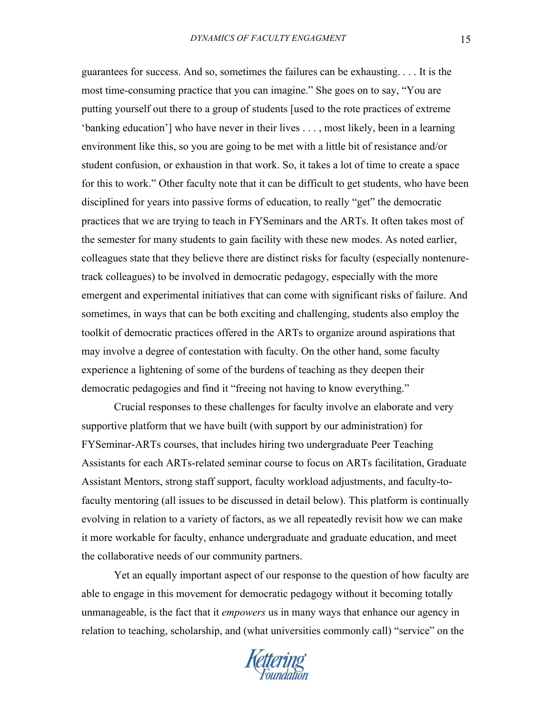guarantees for success. And so, sometimes the failures can be exhausting. . . . It is the most time-consuming practice that you can imagine." She goes on to say, "You are putting yourself out there to a group of students [used to the rote practices of extreme 'banking education'] who have never in their lives . . . , most likely, been in a learning environment like this, so you are going to be met with a little bit of resistance and/or student confusion, or exhaustion in that work. So, it takes a lot of time to create a space for this to work." Other faculty note that it can be difficult to get students, who have been disciplined for years into passive forms of education, to really "get" the democratic practices that we are trying to teach in FYSeminars and the ARTs. It often takes most of the semester for many students to gain facility with these new modes. As noted earlier, colleagues state that they believe there are distinct risks for faculty (especially nontenuretrack colleagues) to be involved in democratic pedagogy, especially with the more emergent and experimental initiatives that can come with significant risks of failure. And sometimes, in ways that can be both exciting and challenging, students also employ the toolkit of democratic practices offered in the ARTs to organize around aspirations that may involve a degree of contestation with faculty. On the other hand, some faculty experience a lightening of some of the burdens of teaching as they deepen their democratic pedagogies and find it "freeing not having to know everything."

Crucial responses to these challenges for faculty involve an elaborate and very supportive platform that we have built (with support by our administration) for FYSeminar-ARTs courses, that includes hiring two undergraduate Peer Teaching Assistants for each ARTs-related seminar course to focus on ARTs facilitation, Graduate Assistant Mentors, strong staff support, faculty workload adjustments, and faculty-tofaculty mentoring (all issues to be discussed in detail below). This platform is continually evolving in relation to a variety of factors, as we all repeatedly revisit how we can make it more workable for faculty, enhance undergraduate and graduate education, and meet the collaborative needs of our community partners.

Yet an equally important aspect of our response to the question of how faculty are able to engage in this movement for democratic pedagogy without it becoming totally unmanageable, is the fact that it *empowers* us in many ways that enhance our agency in relation to teaching, scholarship, and (what universities commonly call) "service" on the

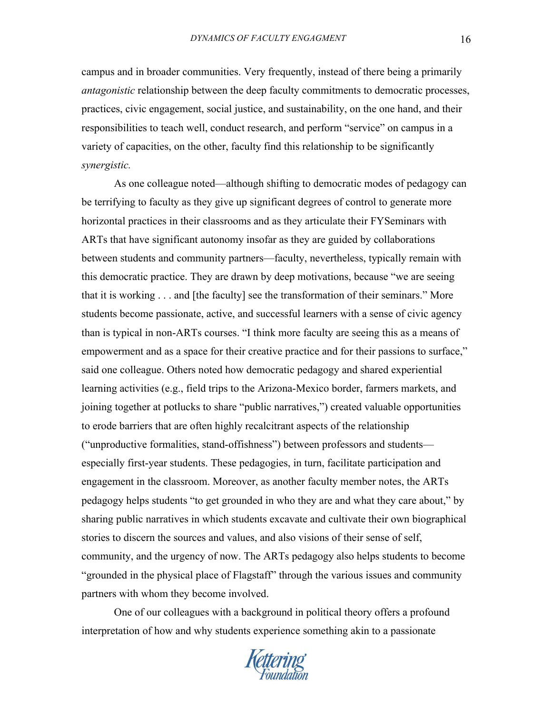campus and in broader communities. Very frequently, instead of there being a primarily *antagonistic* relationship between the deep faculty commitments to democratic processes, practices, civic engagement, social justice, and sustainability, on the one hand, and their responsibilities to teach well, conduct research, and perform "service" on campus in a variety of capacities, on the other, faculty find this relationship to be significantly *synergistic.*

As one colleague noted—although shifting to democratic modes of pedagogy can be terrifying to faculty as they give up significant degrees of control to generate more horizontal practices in their classrooms and as they articulate their FYSeminars with ARTs that have significant autonomy insofar as they are guided by collaborations between students and community partners—faculty, nevertheless, typically remain with this democratic practice. They are drawn by deep motivations, because "we are seeing that it is working . . . and [the faculty] see the transformation of their seminars." More students become passionate, active, and successful learners with a sense of civic agency than is typical in non-ARTs courses. "I think more faculty are seeing this as a means of empowerment and as a space for their creative practice and for their passions to surface," said one colleague. Others noted how democratic pedagogy and shared experiential learning activities (e.g., field trips to the Arizona-Mexico border, farmers markets, and joining together at potlucks to share "public narratives,") created valuable opportunities to erode barriers that are often highly recalcitrant aspects of the relationship ("unproductive formalities, stand-offishness") between professors and students especially first-year students. These pedagogies, in turn, facilitate participation and engagement in the classroom. Moreover, as another faculty member notes, the ARTs pedagogy helps students "to get grounded in who they are and what they care about," by sharing public narratives in which students excavate and cultivate their own biographical stories to discern the sources and values, and also visions of their sense of self, community, and the urgency of now. The ARTs pedagogy also helps students to become "grounded in the physical place of Flagstaff" through the various issues and community partners with whom they become involved.

One of our colleagues with a background in political theory offers a profound interpretation of how and why students experience something akin to a passionate

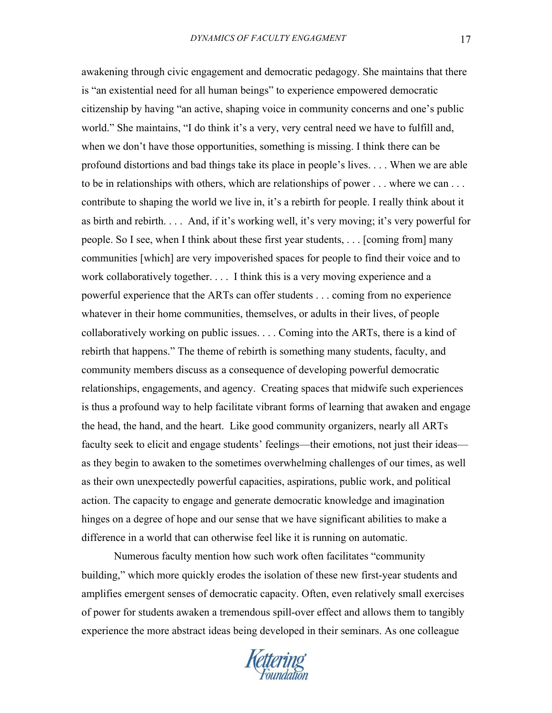awakening through civic engagement and democratic pedagogy. She maintains that there is "an existential need for all human beings" to experience empowered democratic citizenship by having "an active, shaping voice in community concerns and one's public world." She maintains, "I do think it's a very, very central need we have to fulfill and, when we don't have those opportunities, something is missing. I think there can be profound distortions and bad things take its place in people's lives. . . . When we are able to be in relationships with others, which are relationships of power . . . where we can . . . contribute to shaping the world we live in, it's a rebirth for people. I really think about it as birth and rebirth. . . . And, if it's working well, it's very moving; it's very powerful for people. So I see, when I think about these first year students, . . . [coming from] many communities [which] are very impoverished spaces for people to find their voice and to work collaboratively together. . . . I think this is a very moving experience and a powerful experience that the ARTs can offer students . . . coming from no experience whatever in their home communities, themselves, or adults in their lives, of people collaboratively working on public issues. . . . Coming into the ARTs, there is a kind of rebirth that happens." The theme of rebirth is something many students, faculty, and community members discuss as a consequence of developing powerful democratic relationships, engagements, and agency. Creating spaces that midwife such experiences is thus a profound way to help facilitate vibrant forms of learning that awaken and engage the head, the hand, and the heart. Like good community organizers, nearly all ARTs faculty seek to elicit and engage students' feelings—their emotions, not just their ideas as they begin to awaken to the sometimes overwhelming challenges of our times, as well as their own unexpectedly powerful capacities, aspirations, public work, and political action. The capacity to engage and generate democratic knowledge and imagination hinges on a degree of hope and our sense that we have significant abilities to make a difference in a world that can otherwise feel like it is running on automatic.

Numerous faculty mention how such work often facilitates "community building," which more quickly erodes the isolation of these new first-year students and amplifies emergent senses of democratic capacity. Often, even relatively small exercises of power for students awaken a tremendous spill-over effect and allows them to tangibly experience the more abstract ideas being developed in their seminars. As one colleague

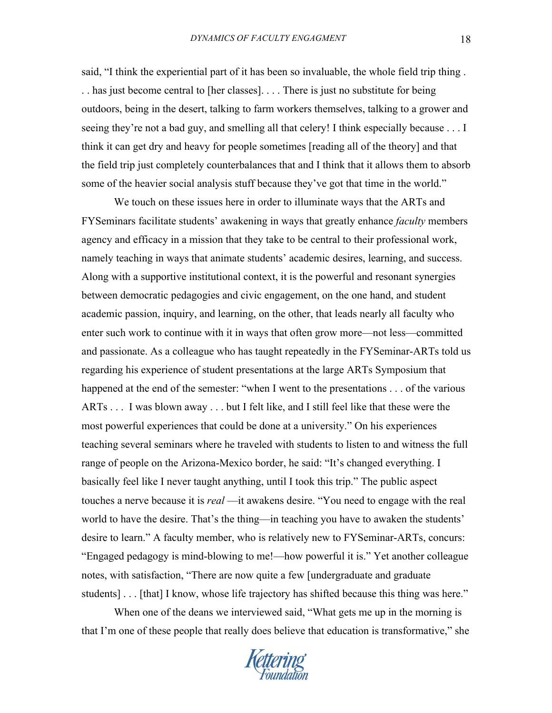said, "I think the experiential part of it has been so invaluable, the whole field trip thing . . . has just become central to [her classes]. . . . There is just no substitute for being outdoors, being in the desert, talking to farm workers themselves, talking to a grower and seeing they're not a bad guy, and smelling all that celery! I think especially because . . . I think it can get dry and heavy for people sometimes [reading all of the theory] and that the field trip just completely counterbalances that and I think that it allows them to absorb some of the heavier social analysis stuff because they've got that time in the world."

We touch on these issues here in order to illuminate ways that the ARTs and FYSeminars facilitate students' awakening in ways that greatly enhance *faculty* members agency and efficacy in a mission that they take to be central to their professional work, namely teaching in ways that animate students' academic desires, learning, and success. Along with a supportive institutional context, it is the powerful and resonant synergies between democratic pedagogies and civic engagement, on the one hand, and student academic passion, inquiry, and learning, on the other, that leads nearly all faculty who enter such work to continue with it in ways that often grow more—not less—committed and passionate. As a colleague who has taught repeatedly in the FYSeminar-ARTs told us regarding his experience of student presentations at the large ARTs Symposium that happened at the end of the semester: "when I went to the presentations . . . of the various ARTs . . . I was blown away . . . but I felt like, and I still feel like that these were the most powerful experiences that could be done at a university." On his experiences teaching several seminars where he traveled with students to listen to and witness the full range of people on the Arizona-Mexico border, he said: "It's changed everything. I basically feel like I never taught anything, until I took this trip." The public aspect touches a nerve because it is *real* —it awakens desire. "You need to engage with the real world to have the desire. That's the thing—in teaching you have to awaken the students' desire to learn." A faculty member, who is relatively new to FYSeminar-ARTs, concurs: "Engaged pedagogy is mind-blowing to me!—how powerful it is." Yet another colleague notes, with satisfaction, "There are now quite a few [undergraduate and graduate students] . . . [that] I know, whose life trajectory has shifted because this thing was here."

When one of the deans we interviewed said, "What gets me up in the morning is that I'm one of these people that really does believe that education is transformative," she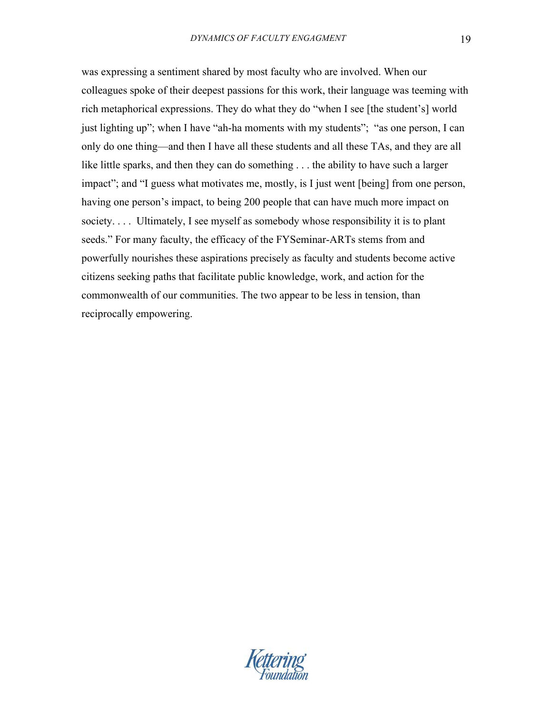was expressing a sentiment shared by most faculty who are involved. When our colleagues spoke of their deepest passions for this work, their language was teeming with rich metaphorical expressions. They do what they do "when I see [the student's] world just lighting up"; when I have "ah-ha moments with my students"; "as one person, I can only do one thing—and then I have all these students and all these TAs, and they are all like little sparks, and then they can do something . . . the ability to have such a larger impact"; and "I guess what motivates me, mostly, is I just went [being] from one person, having one person's impact, to being 200 people that can have much more impact on society. . . . Ultimately, I see myself as somebody whose responsibility it is to plant seeds." For many faculty, the efficacy of the FYSeminar-ARTs stems from and powerfully nourishes these aspirations precisely as faculty and students become active citizens seeking paths that facilitate public knowledge, work, and action for the commonwealth of our communities. The two appear to be less in tension, than reciprocally empowering.

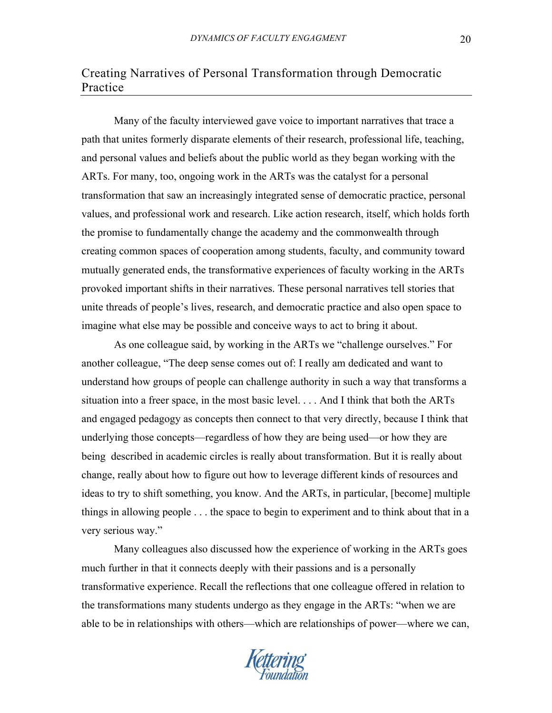# Creating Narratives of Personal Transformation through Democratic Practice

Many of the faculty interviewed gave voice to important narratives that trace a path that unites formerly disparate elements of their research, professional life, teaching, and personal values and beliefs about the public world as they began working with the ARTs. For many, too, ongoing work in the ARTs was the catalyst for a personal transformation that saw an increasingly integrated sense of democratic practice, personal values, and professional work and research. Like action research, itself, which holds forth the promise to fundamentally change the academy and the commonwealth through creating common spaces of cooperation among students, faculty, and community toward mutually generated ends, the transformative experiences of faculty working in the ARTs provoked important shifts in their narratives. These personal narratives tell stories that unite threads of people's lives, research, and democratic practice and also open space to imagine what else may be possible and conceive ways to act to bring it about.

As one colleague said, by working in the ARTs we "challenge ourselves." For another colleague, "The deep sense comes out of: I really am dedicated and want to understand how groups of people can challenge authority in such a way that transforms a situation into a freer space, in the most basic level. . . . And I think that both the ARTs and engaged pedagogy as concepts then connect to that very directly, because I think that underlying those concepts—regardless of how they are being used—or how they are being described in academic circles is really about transformation. But it is really about change, really about how to figure out how to leverage different kinds of resources and ideas to try to shift something, you know. And the ARTs, in particular, [become] multiple things in allowing people . . . the space to begin to experiment and to think about that in a very serious way."

Many colleagues also discussed how the experience of working in the ARTs goes much further in that it connects deeply with their passions and is a personally transformative experience. Recall the reflections that one colleague offered in relation to the transformations many students undergo as they engage in the ARTs: "when we are able to be in relationships with others—which are relationships of power—where we can,

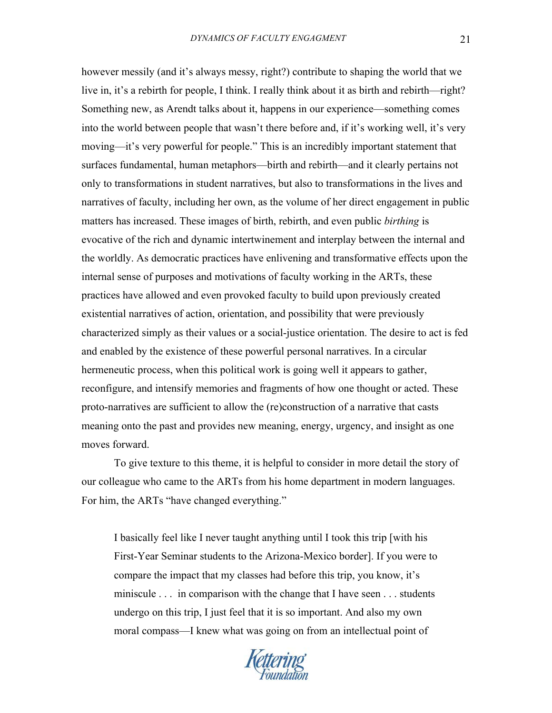however messily (and it's always messy, right?) contribute to shaping the world that we live in, it's a rebirth for people, I think. I really think about it as birth and rebirth—right? Something new, as Arendt talks about it, happens in our experience—something comes into the world between people that wasn't there before and, if it's working well, it's very moving—it's very powerful for people." This is an incredibly important statement that surfaces fundamental, human metaphors—birth and rebirth—and it clearly pertains not only to transformations in student narratives, but also to transformations in the lives and narratives of faculty, including her own, as the volume of her direct engagement in public matters has increased. These images of birth, rebirth, and even public *birthing* is evocative of the rich and dynamic intertwinement and interplay between the internal and the worldly. As democratic practices have enlivening and transformative effects upon the internal sense of purposes and motivations of faculty working in the ARTs, these practices have allowed and even provoked faculty to build upon previously created existential narratives of action, orientation, and possibility that were previously characterized simply as their values or a social-justice orientation. The desire to act is fed and enabled by the existence of these powerful personal narratives. In a circular hermeneutic process, when this political work is going well it appears to gather, reconfigure, and intensify memories and fragments of how one thought or acted. These proto-narratives are sufficient to allow the (re)construction of a narrative that casts meaning onto the past and provides new meaning, energy, urgency, and insight as one moves forward.

To give texture to this theme, it is helpful to consider in more detail the story of our colleague who came to the ARTs from his home department in modern languages. For him, the ARTs "have changed everything."

I basically feel like I never taught anything until I took this trip [with his First-Year Seminar students to the Arizona-Mexico border]. If you were to compare the impact that my classes had before this trip, you know, it's miniscule . . . in comparison with the change that I have seen . . . students undergo on this trip, I just feel that it is so important. And also my own moral compass—I knew what was going on from an intellectual point of

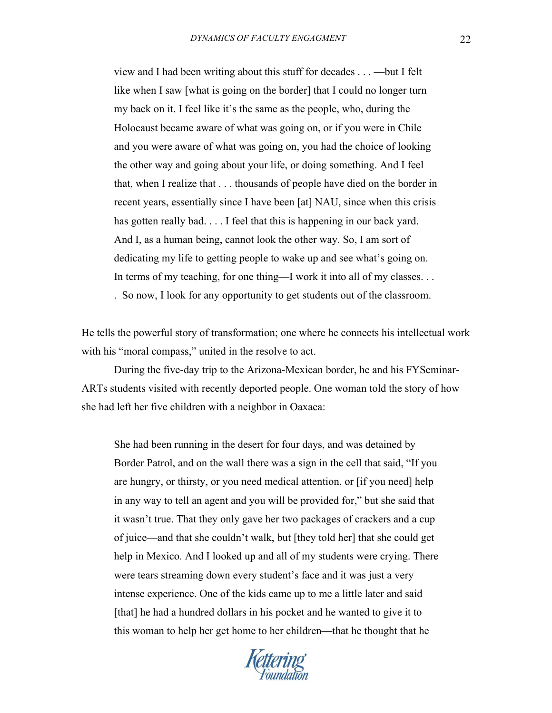view and I had been writing about this stuff for decades . . . —but I felt like when I saw [what is going on the border] that I could no longer turn my back on it. I feel like it's the same as the people, who, during the Holocaust became aware of what was going on, or if you were in Chile and you were aware of what was going on, you had the choice of looking the other way and going about your life, or doing something. And I feel that, when I realize that . . . thousands of people have died on the border in recent years, essentially since I have been [at] NAU, since when this crisis has gotten really bad. . . . I feel that this is happening in our back yard. And I, as a human being, cannot look the other way. So, I am sort of dedicating my life to getting people to wake up and see what's going on. In terms of my teaching, for one thing—I work it into all of my classes...

. So now, I look for any opportunity to get students out of the classroom.

He tells the powerful story of transformation; one where he connects his intellectual work with his "moral compass," united in the resolve to act.

During the five-day trip to the Arizona-Mexican border, he and his FYSeminar-ARTs students visited with recently deported people. One woman told the story of how she had left her five children with a neighbor in Oaxaca:

She had been running in the desert for four days, and was detained by Border Patrol, and on the wall there was a sign in the cell that said, "If you are hungry, or thirsty, or you need medical attention, or [if you need] help in any way to tell an agent and you will be provided for," but she said that it wasn't true. That they only gave her two packages of crackers and a cup of juice—and that she couldn't walk, but [they told her] that she could get help in Mexico. And I looked up and all of my students were crying. There were tears streaming down every student's face and it was just a very intense experience. One of the kids came up to me a little later and said [that] he had a hundred dollars in his pocket and he wanted to give it to this woman to help her get home to her children—that he thought that he

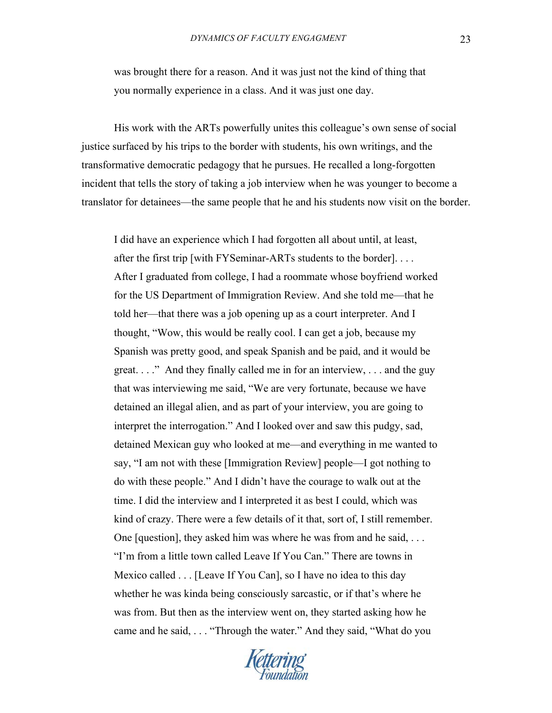was brought there for a reason. And it was just not the kind of thing that you normally experience in a class. And it was just one day.

His work with the ARTs powerfully unites this colleague's own sense of social justice surfaced by his trips to the border with students, his own writings, and the transformative democratic pedagogy that he pursues. He recalled a long-forgotten incident that tells the story of taking a job interview when he was younger to become a translator for detainees—the same people that he and his students now visit on the border.

I did have an experience which I had forgotten all about until, at least, after the first trip [with FYSeminar-ARTs students to the border]. . . . After I graduated from college, I had a roommate whose boyfriend worked for the US Department of Immigration Review. And she told me—that he told her—that there was a job opening up as a court interpreter. And I thought, "Wow, this would be really cool. I can get a job, because my Spanish was pretty good, and speak Spanish and be paid, and it would be great. . . ." And they finally called me in for an interview, . . . and the guy that was interviewing me said, "We are very fortunate, because we have detained an illegal alien, and as part of your interview, you are going to interpret the interrogation." And I looked over and saw this pudgy, sad, detained Mexican guy who looked at me—and everything in me wanted to say, "I am not with these [Immigration Review] people—I got nothing to do with these people." And I didn't have the courage to walk out at the time. I did the interview and I interpreted it as best I could, which was kind of crazy. There were a few details of it that, sort of, I still remember. One [question], they asked him was where he was from and he said, . . . "I'm from a little town called Leave If You Can." There are towns in Mexico called . . . [Leave If You Can], so I have no idea to this day whether he was kinda being consciously sarcastic, or if that's where he was from. But then as the interview went on, they started asking how he came and he said, . . . "Through the water." And they said, "What do you

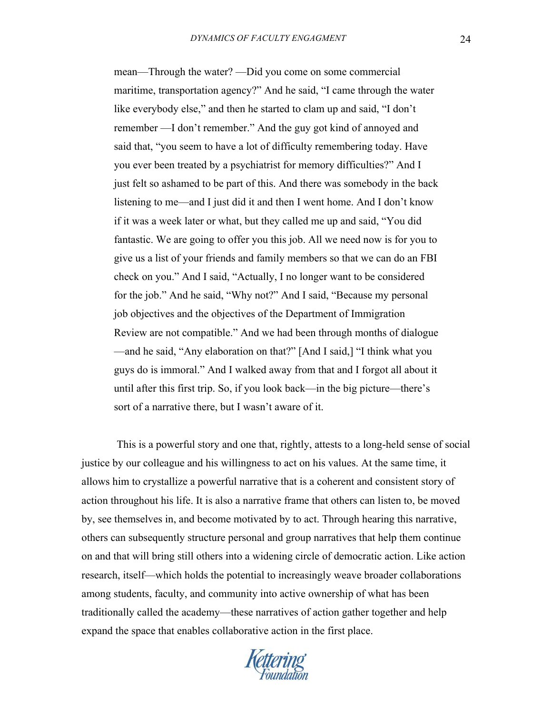mean—Through the water? —Did you come on some commercial maritime, transportation agency?" And he said, "I came through the water like everybody else," and then he started to clam up and said, "I don't remember —I don't remember." And the guy got kind of annoyed and said that, "you seem to have a lot of difficulty remembering today. Have you ever been treated by a psychiatrist for memory difficulties?" And I just felt so ashamed to be part of this. And there was somebody in the back listening to me—and I just did it and then I went home. And I don't know if it was a week later or what, but they called me up and said, "You did fantastic. We are going to offer you this job. All we need now is for you to give us a list of your friends and family members so that we can do an FBI check on you." And I said, "Actually, I no longer want to be considered for the job." And he said, "Why not?" And I said, "Because my personal job objectives and the objectives of the Department of Immigration Review are not compatible." And we had been through months of dialogue —and he said, "Any elaboration on that?" [And I said,] "I think what you guys do is immoral." And I walked away from that and I forgot all about it until after this first trip. So, if you look back—in the big picture—there's sort of a narrative there, but I wasn't aware of it.

This is a powerful story and one that, rightly, attests to a long-held sense of social justice by our colleague and his willingness to act on his values. At the same time, it allows him to crystallize a powerful narrative that is a coherent and consistent story of action throughout his life. It is also a narrative frame that others can listen to, be moved by, see themselves in, and become motivated by to act. Through hearing this narrative, others can subsequently structure personal and group narratives that help them continue on and that will bring still others into a widening circle of democratic action. Like action research, itself—which holds the potential to increasingly weave broader collaborations among students, faculty, and community into active ownership of what has been traditionally called the academy—these narratives of action gather together and help expand the space that enables collaborative action in the first place.

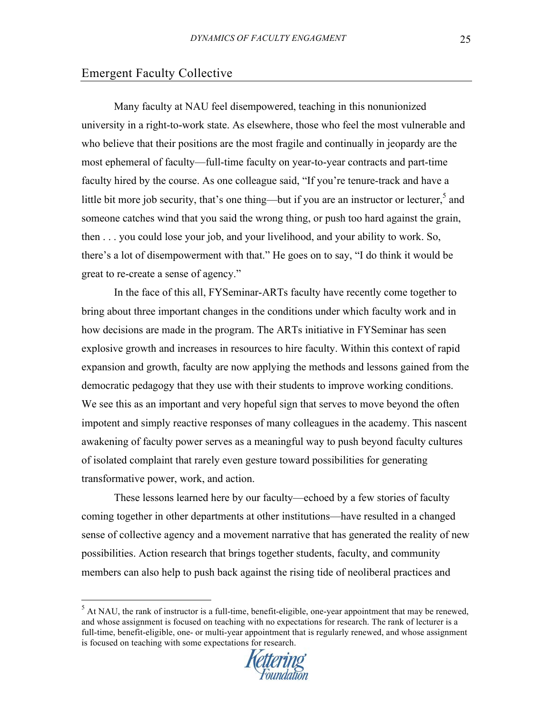### Emergent Faculty Collective

!!!!!!!!!!!!!!!!!!!!!!!!!!!!!!!!!!!!!!!!!!!!!!!!!!!!!!!

Many faculty at NAU feel disempowered, teaching in this nonunionized university in a right-to-work state. As elsewhere, those who feel the most vulnerable and who believe that their positions are the most fragile and continually in jeopardy are the most ephemeral of faculty—full-time faculty on year-to-year contracts and part-time faculty hired by the course. As one colleague said, "If you're tenure-track and have a little bit more job security, that's one thing—but if you are an instructor or lecturer,<sup>5</sup> and someone catches wind that you said the wrong thing, or push too hard against the grain, then . . . you could lose your job, and your livelihood, and your ability to work. So, there's a lot of disempowerment with that." He goes on to say, "I do think it would be great to re-create a sense of agency."

 In the face of this all, FYSeminar-ARTs faculty have recently come together to bring about three important changes in the conditions under which faculty work and in how decisions are made in the program. The ARTs initiative in FYSeminar has seen explosive growth and increases in resources to hire faculty. Within this context of rapid expansion and growth, faculty are now applying the methods and lessons gained from the democratic pedagogy that they use with their students to improve working conditions. We see this as an important and very hopeful sign that serves to move beyond the often impotent and simply reactive responses of many colleagues in the academy. This nascent awakening of faculty power serves as a meaningful way to push beyond faculty cultures of isolated complaint that rarely even gesture toward possibilities for generating transformative power, work, and action.

These lessons learned here by our faculty—echoed by a few stories of faculty coming together in other departments at other institutions—have resulted in a changed sense of collective agency and a movement narrative that has generated the reality of new possibilities. Action research that brings together students, faculty, and community members can also help to push back against the rising tide of neoliberal practices and

 $<sup>5</sup>$  At NAU, the rank of instructor is a full-time, benefit-eligible, one-year appointment that may be renewed,</sup> and whose assignment is focused on teaching with no expectations for research. The rank of lecturer is a full-time, benefit-eligible, one- or multi-year appointment that is regularly renewed, and whose assignment is focused on teaching with some expectations for research.

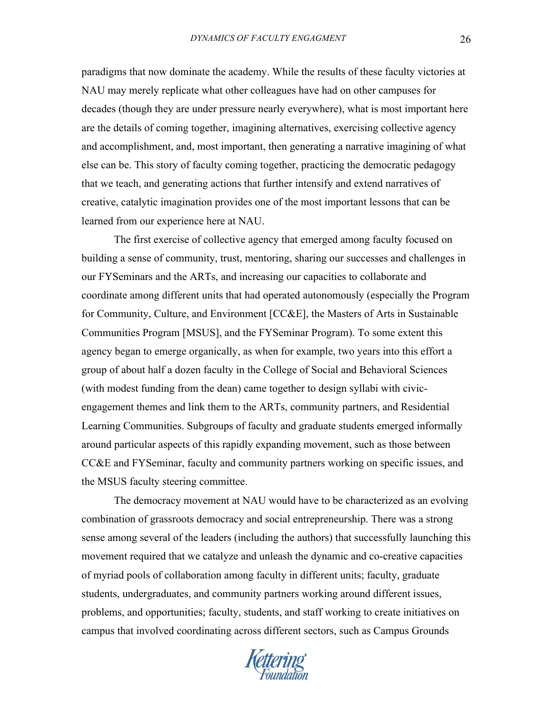paradigms that now dominate the academy. While the results of these faculty victories at NAU may merely replicate what other colleagues have had on other campuses for decades (though they are under pressure nearly everywhere), what is most important here are the details of coming together, imagining alternatives, exercising collective agency

and accomplishment, and, most important, then generating a narrative imagining of what else can be. This story of faculty coming together, practicing the democratic pedagogy that we teach, and generating actions that further intensify and extend narratives of creative, catalytic imagination provides one of the most important lessons that can be learned from our experience here at NAU.

The first exercise of collective agency that emerged among faculty focused on building a sense of community, trust, mentoring, sharing our successes and challenges in our FYSeminars and the ARTs, and increasing our capacities to collaborate and coordinate among different units that had operated autonomously (especially the Program for Community, Culture, and Environment [CC&E], the Masters of Arts in Sustainable Communities Program [MSUS], and the FYSeminar Program). To some extent this agency began to emerge organically, as when for example, two years into this effort a group of about half a dozen faculty in the College of Social and Behavioral Sciences (with modest funding from the dean) came together to design syllabi with civicengagement themes and link them to the ARTs, community partners, and Residential Learning Communities. Subgroups of faculty and graduate students emerged informally around particular aspects of this rapidly expanding movement, such as those between CC&E and FYSeminar, faculty and community partners working on specific issues, and the MSUS faculty steering committee.

The democracy movement at NAU would have to be characterized as an evolving combination of grassroots democracy and social entrepreneurship. There was a strong sense among several of the leaders (including the authors) that successfully launching this movement required that we catalyze and unleash the dynamic and co-creative capacities of myriad pools of collaboration among faculty in different units; faculty, graduate students, undergraduates, and community partners working around different issues, problems, and opportunities; faculty, students, and staff working to create initiatives on campus that involved coordinating across different sectors, such as Campus Grounds

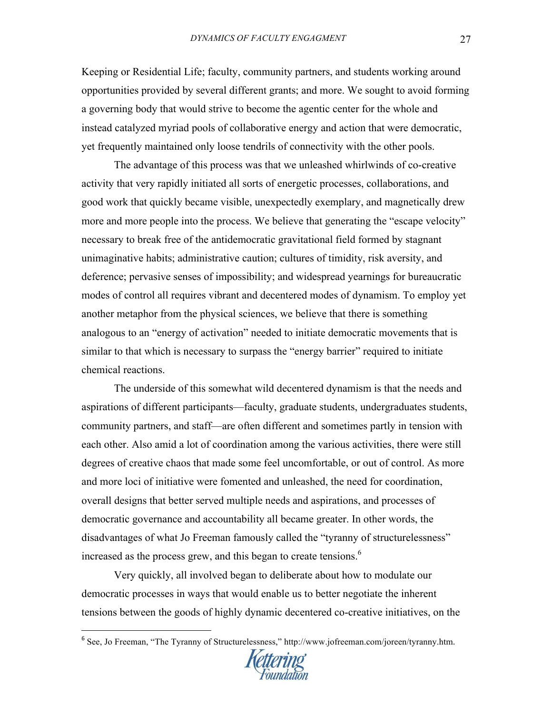Keeping or Residential Life; faculty, community partners, and students working around opportunities provided by several different grants; and more. We sought to avoid forming a governing body that would strive to become the agentic center for the whole and instead catalyzed myriad pools of collaborative energy and action that were democratic, yet frequently maintained only loose tendrils of connectivity with the other pools.

The advantage of this process was that we unleashed whirlwinds of co-creative activity that very rapidly initiated all sorts of energetic processes, collaborations, and good work that quickly became visible, unexpectedly exemplary, and magnetically drew more and more people into the process. We believe that generating the "escape velocity" necessary to break free of the antidemocratic gravitational field formed by stagnant unimaginative habits; administrative caution; cultures of timidity, risk aversity, and deference; pervasive senses of impossibility; and widespread yearnings for bureaucratic modes of control all requires vibrant and decentered modes of dynamism. To employ yet another metaphor from the physical sciences, we believe that there is something analogous to an "energy of activation" needed to initiate democratic movements that is similar to that which is necessary to surpass the "energy barrier" required to initiate chemical reactions.

The underside of this somewhat wild decentered dynamism is that the needs and aspirations of different participants—faculty, graduate students, undergraduates students, community partners, and staff—are often different and sometimes partly in tension with each other. Also amid a lot of coordination among the various activities, there were still degrees of creative chaos that made some feel uncomfortable, or out of control. As more and more loci of initiative were fomented and unleashed, the need for coordination, overall designs that better served multiple needs and aspirations, and processes of democratic governance and accountability all became greater. In other words, the disadvantages of what Jo Freeman famously called the "tyranny of structurelessness" increased as the process grew, and this began to create tensions.<sup>6</sup>

Very quickly, all involved began to deliberate about how to modulate our democratic processes in ways that would enable us to better negotiate the inherent tensions between the goods of highly dynamic decentered co-creative initiatives, on the

!!!!!!!!!!!!!!!!!!!!!!!!!!!!!!!!!!!!!!!!!!!!!!!!!!!!!!!

<sup>&</sup>lt;sup>6</sup> See, Jo Freeman, "The Tyranny of Structurelessness," http://www.jofreeman.com/joreen/tyranny.htm.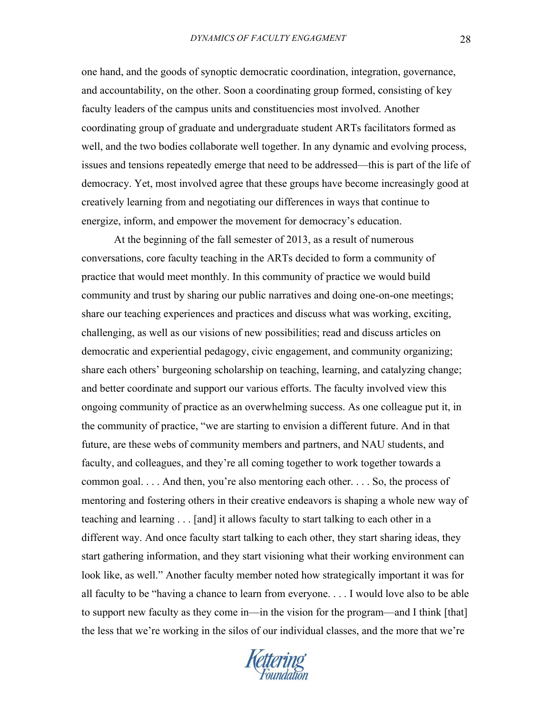one hand, and the goods of synoptic democratic coordination, integration, governance, and accountability, on the other. Soon a coordinating group formed, consisting of key faculty leaders of the campus units and constituencies most involved. Another coordinating group of graduate and undergraduate student ARTs facilitators formed as well, and the two bodies collaborate well together. In any dynamic and evolving process, issues and tensions repeatedly emerge that need to be addressed—this is part of the life of democracy. Yet, most involved agree that these groups have become increasingly good at creatively learning from and negotiating our differences in ways that continue to energize, inform, and empower the movement for democracy's education.

At the beginning of the fall semester of 2013, as a result of numerous conversations, core faculty teaching in the ARTs decided to form a community of practice that would meet monthly. In this community of practice we would build community and trust by sharing our public narratives and doing one-on-one meetings; share our teaching experiences and practices and discuss what was working, exciting, challenging, as well as our visions of new possibilities; read and discuss articles on democratic and experiential pedagogy, civic engagement, and community organizing; share each others' burgeoning scholarship on teaching, learning, and catalyzing change; and better coordinate and support our various efforts. The faculty involved view this ongoing community of practice as an overwhelming success. As one colleague put it, in the community of practice, "we are starting to envision a different future. And in that future, are these webs of community members and partners, and NAU students, and faculty, and colleagues, and they're all coming together to work together towards a common goal. . . . And then, you're also mentoring each other. . . . So, the process of mentoring and fostering others in their creative endeavors is shaping a whole new way of teaching and learning . . . [and] it allows faculty to start talking to each other in a different way. And once faculty start talking to each other, they start sharing ideas, they start gathering information, and they start visioning what their working environment can look like, as well." Another faculty member noted how strategically important it was for all faculty to be "having a chance to learn from everyone. . . . I would love also to be able to support new faculty as they come in—in the vision for the program—and I think [that] the less that we're working in the silos of our individual classes, and the more that we're

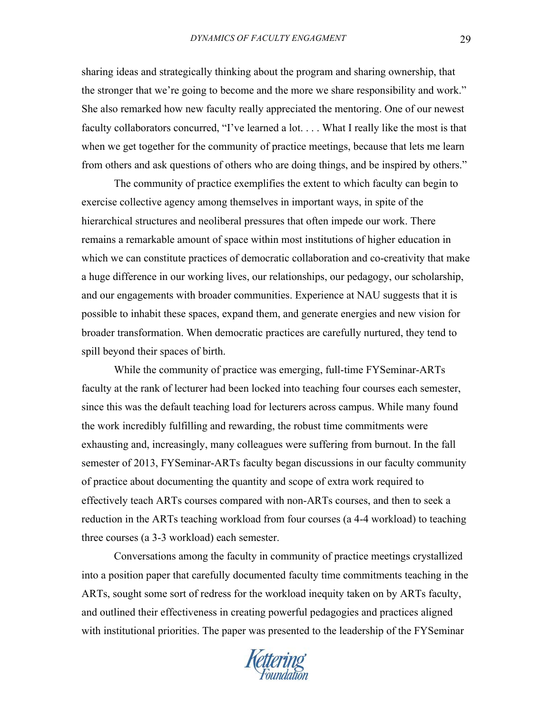sharing ideas and strategically thinking about the program and sharing ownership, that the stronger that we're going to become and the more we share responsibility and work." She also remarked how new faculty really appreciated the mentoring. One of our newest faculty collaborators concurred, "I've learned a lot. . . . What I really like the most is that when we get together for the community of practice meetings, because that lets me learn from others and ask questions of others who are doing things, and be inspired by others."

The community of practice exemplifies the extent to which faculty can begin to exercise collective agency among themselves in important ways, in spite of the hierarchical structures and neoliberal pressures that often impede our work. There remains a remarkable amount of space within most institutions of higher education in which we can constitute practices of democratic collaboration and co-creativity that make a huge difference in our working lives, our relationships, our pedagogy, our scholarship, and our engagements with broader communities. Experience at NAU suggests that it is possible to inhabit these spaces, expand them, and generate energies and new vision for broader transformation. When democratic practices are carefully nurtured, they tend to spill beyond their spaces of birth.

While the community of practice was emerging, full-time FYSeminar-ARTs faculty at the rank of lecturer had been locked into teaching four courses each semester, since this was the default teaching load for lecturers across campus. While many found the work incredibly fulfilling and rewarding, the robust time commitments were exhausting and, increasingly, many colleagues were suffering from burnout. In the fall semester of 2013, FYSeminar-ARTs faculty began discussions in our faculty community of practice about documenting the quantity and scope of extra work required to effectively teach ARTs courses compared with non-ARTs courses, and then to seek a reduction in the ARTs teaching workload from four courses (a 4-4 workload) to teaching three courses (a 3-3 workload) each semester.

 Conversations among the faculty in community of practice meetings crystallized into a position paper that carefully documented faculty time commitments teaching in the ARTs, sought some sort of redress for the workload inequity taken on by ARTs faculty, and outlined their effectiveness in creating powerful pedagogies and practices aligned with institutional priorities. The paper was presented to the leadership of the FYSeminar

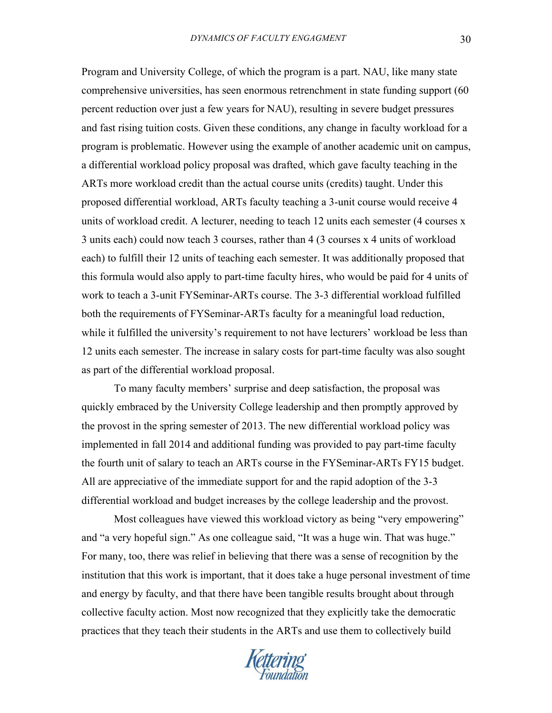Program and University College, of which the program is a part. NAU, like many state comprehensive universities, has seen enormous retrenchment in state funding support (60 percent reduction over just a few years for NAU), resulting in severe budget pressures and fast rising tuition costs. Given these conditions, any change in faculty workload for a program is problematic. However using the example of another academic unit on campus, a differential workload policy proposal was drafted, which gave faculty teaching in the ARTs more workload credit than the actual course units (credits) taught. Under this proposed differential workload, ARTs faculty teaching a 3-unit course would receive 4 units of workload credit. A lecturer, needing to teach 12 units each semester (4 courses x 3 units each) could now teach 3 courses, rather than 4 (3 courses x 4 units of workload each) to fulfill their 12 units of teaching each semester. It was additionally proposed that this formula would also apply to part-time faculty hires, who would be paid for 4 units of work to teach a 3-unit FYSeminar-ARTs course. The 3-3 differential workload fulfilled both the requirements of FYSeminar-ARTs faculty for a meaningful load reduction, while it fulfilled the university's requirement to not have lecturers' workload be less than 12 units each semester. The increase in salary costs for part-time faculty was also sought as part of the differential workload proposal.

 To many faculty members' surprise and deep satisfaction, the proposal was quickly embraced by the University College leadership and then promptly approved by the provost in the spring semester of 2013. The new differential workload policy was implemented in fall 2014 and additional funding was provided to pay part-time faculty the fourth unit of salary to teach an ARTs course in the FYSeminar-ARTs FY15 budget. All are appreciative of the immediate support for and the rapid adoption of the 3-3 differential workload and budget increases by the college leadership and the provost.

 Most colleagues have viewed this workload victory as being "very empowering" and "a very hopeful sign." As one colleague said, "It was a huge win. That was huge." For many, too, there was relief in believing that there was a sense of recognition by the institution that this work is important, that it does take a huge personal investment of time and energy by faculty, and that there have been tangible results brought about through collective faculty action. Most now recognized that they explicitly take the democratic practices that they teach their students in the ARTs and use them to collectively build

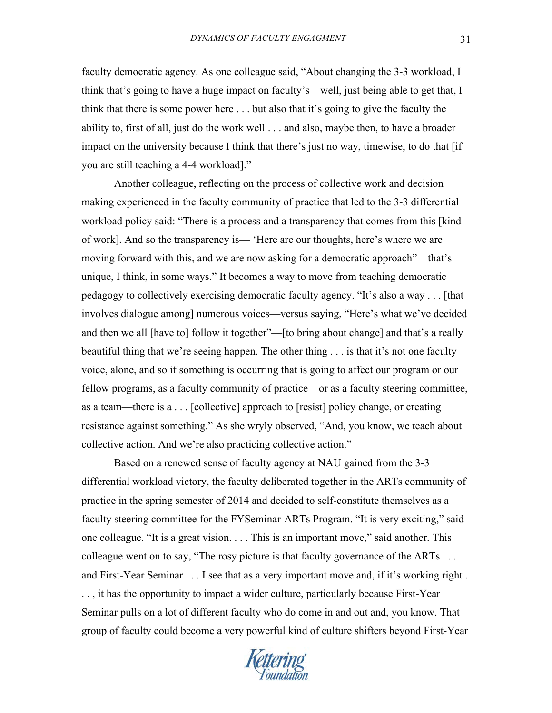faculty democratic agency. As one colleague said, "About changing the 3-3 workload, I think that's going to have a huge impact on faculty's—well, just being able to get that, I think that there is some power here . . . but also that it's going to give the faculty the ability to, first of all, just do the work well . . . and also, maybe then, to have a broader impact on the university because I think that there's just no way, timewise, to do that [if you are still teaching a 4-4 workload]."

 Another colleague, reflecting on the process of collective work and decision making experienced in the faculty community of practice that led to the 3-3 differential workload policy said: "There is a process and a transparency that comes from this [kind of work]. And so the transparency is— 'Here are our thoughts, here's where we are moving forward with this, and we are now asking for a democratic approach"—that's unique, I think, in some ways." It becomes a way to move from teaching democratic pedagogy to collectively exercising democratic faculty agency. "It's also a way . . . [that involves dialogue among] numerous voices—versus saying, "Here's what we've decided and then we all [have to] follow it together"—[to bring about change] and that's a really beautiful thing that we're seeing happen. The other thing . . . is that it's not one faculty voice, alone, and so if something is occurring that is going to affect our program or our fellow programs, as a faculty community of practice—or as a faculty steering committee, as a team—there is a . . . [collective] approach to [resist] policy change, or creating resistance against something." As she wryly observed, "And, you know, we teach about collective action. And we're also practicing collective action."

 Based on a renewed sense of faculty agency at NAU gained from the 3-3 differential workload victory, the faculty deliberated together in the ARTs community of practice in the spring semester of 2014 and decided to self-constitute themselves as a faculty steering committee for the FYSeminar-ARTs Program. "It is very exciting," said one colleague. "It is a great vision. . . . This is an important move," said another. This colleague went on to say, "The rosy picture is that faculty governance of the ARTs . . . and First-Year Seminar . . . I see that as a very important move and, if it's working right . . . , it has the opportunity to impact a wider culture, particularly because First-Year Seminar pulls on a lot of different faculty who do come in and out and, you know. That group of faculty could become a very powerful kind of culture shifters beyond First-Year

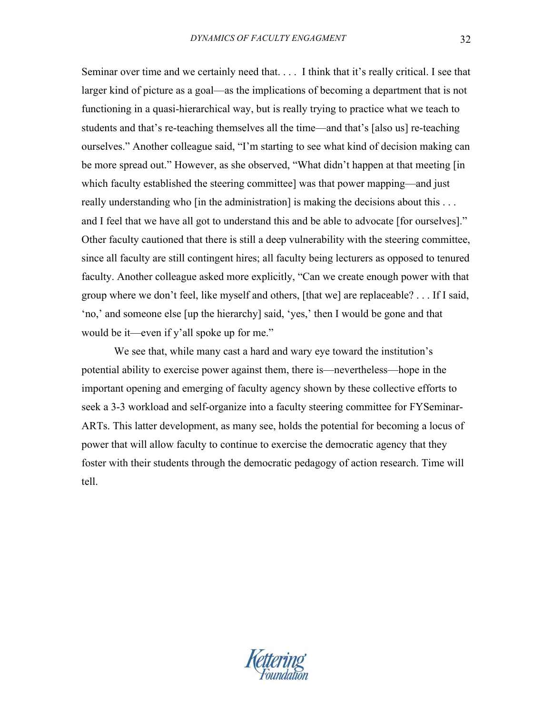Seminar over time and we certainly need that. . . . I think that it's really critical. I see that larger kind of picture as a goal—as the implications of becoming a department that is not functioning in a quasi-hierarchical way, but is really trying to practice what we teach to students and that's re-teaching themselves all the time—and that's [also us] re-teaching ourselves." Another colleague said, "I'm starting to see what kind of decision making can be more spread out." However, as she observed, "What didn't happen at that meeting [in which faculty established the steering committee] was that power mapping—and just really understanding who [in the administration] is making the decisions about this . . . and I feel that we have all got to understand this and be able to advocate [for ourselves]." Other faculty cautioned that there is still a deep vulnerability with the steering committee, since all faculty are still contingent hires; all faculty being lecturers as opposed to tenured faculty. Another colleague asked more explicitly, "Can we create enough power with that group where we don't feel, like myself and others, [that we] are replaceable? . . . If I said, 'no,' and someone else [up the hierarchy] said, 'yes,' then I would be gone and that would be it—even if y'all spoke up for me."

 We see that, while many cast a hard and wary eye toward the institution's potential ability to exercise power against them, there is—nevertheless—hope in the important opening and emerging of faculty agency shown by these collective efforts to seek a 3-3 workload and self-organize into a faculty steering committee for FYSeminar-ARTs. This latter development, as many see, holds the potential for becoming a locus of power that will allow faculty to continue to exercise the democratic agency that they foster with their students through the democratic pedagogy of action research. Time will tell.

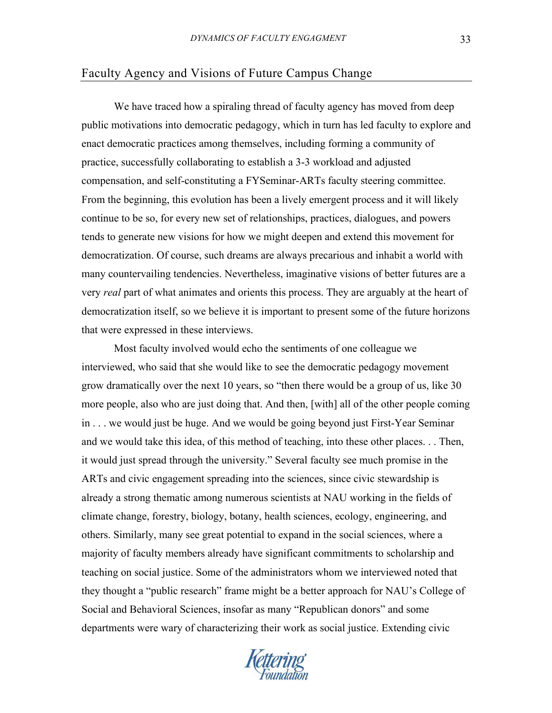## Faculty Agency and Visions of Future Campus Change

We have traced how a spiraling thread of faculty agency has moved from deep public motivations into democratic pedagogy, which in turn has led faculty to explore and enact democratic practices among themselves, including forming a community of practice, successfully collaborating to establish a 3-3 workload and adjusted compensation, and self-constituting a FYSeminar-ARTs faculty steering committee. From the beginning, this evolution has been a lively emergent process and it will likely continue to be so, for every new set of relationships, practices, dialogues, and powers tends to generate new visions for how we might deepen and extend this movement for democratization. Of course, such dreams are always precarious and inhabit a world with many countervailing tendencies. Nevertheless, imaginative visions of better futures are a very *real* part of what animates and orients this process. They are arguably at the heart of democratization itself, so we believe it is important to present some of the future horizons that were expressed in these interviews.

 Most faculty involved would echo the sentiments of one colleague we interviewed, who said that she would like to see the democratic pedagogy movement grow dramatically over the next 10 years, so "then there would be a group of us, like 30 more people, also who are just doing that. And then, [with] all of the other people coming in . . . we would just be huge. And we would be going beyond just First-Year Seminar and we would take this idea, of this method of teaching, into these other places. . . Then, it would just spread through the university." Several faculty see much promise in the ARTs and civic engagement spreading into the sciences, since civic stewardship is already a strong thematic among numerous scientists at NAU working in the fields of climate change, forestry, biology, botany, health sciences, ecology, engineering, and others. Similarly, many see great potential to expand in the social sciences, where a majority of faculty members already have significant commitments to scholarship and teaching on social justice. Some of the administrators whom we interviewed noted that they thought a "public research" frame might be a better approach for NAU's College of Social and Behavioral Sciences, insofar as many "Republican donors" and some departments were wary of characterizing their work as social justice. Extending civic

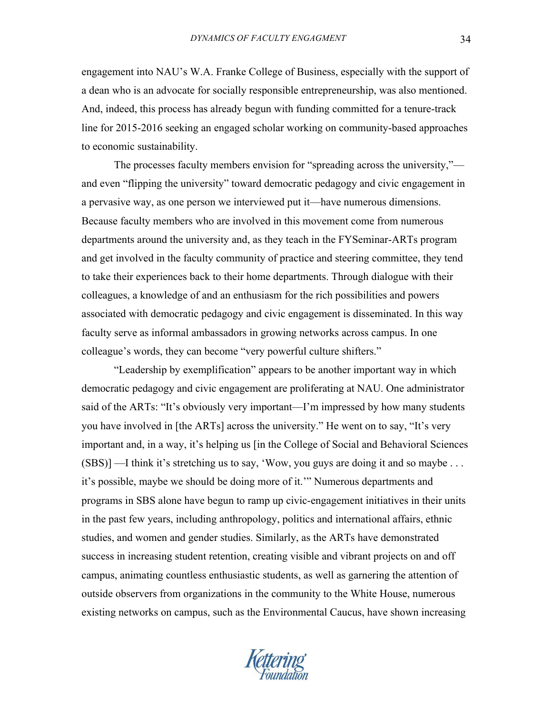engagement into NAU's W.A. Franke College of Business, especially with the support of a dean who is an advocate for socially responsible entrepreneurship, was also mentioned. And, indeed, this process has already begun with funding committed for a tenure-track line for 2015-2016 seeking an engaged scholar working on community-based approaches to economic sustainability.

 The processes faculty members envision for "spreading across the university," and even "flipping the university" toward democratic pedagogy and civic engagement in a pervasive way, as one person we interviewed put it—have numerous dimensions. Because faculty members who are involved in this movement come from numerous departments around the university and, as they teach in the FYSeminar-ARTs program and get involved in the faculty community of practice and steering committee, they tend to take their experiences back to their home departments. Through dialogue with their colleagues, a knowledge of and an enthusiasm for the rich possibilities and powers associated with democratic pedagogy and civic engagement is disseminated. In this way faculty serve as informal ambassadors in growing networks across campus. In one colleague's words, they can become "very powerful culture shifters."

 "Leadership by exemplification" appears to be another important way in which democratic pedagogy and civic engagement are proliferating at NAU. One administrator said of the ARTs: "It's obviously very important—I'm impressed by how many students you have involved in [the ARTs] across the university." He went on to say, "It's very important and, in a way, it's helping us [in the College of Social and Behavioral Sciences (SBS)] —I think it's stretching us to say, 'Wow, you guys are doing it and so maybe . . . it's possible, maybe we should be doing more of it.'" Numerous departments and programs in SBS alone have begun to ramp up civic-engagement initiatives in their units in the past few years, including anthropology, politics and international affairs, ethnic studies, and women and gender studies. Similarly, as the ARTs have demonstrated success in increasing student retention, creating visible and vibrant projects on and off campus, animating countless enthusiastic students, as well as garnering the attention of outside observers from organizations in the community to the White House, numerous existing networks on campus, such as the Environmental Caucus, have shown increasing

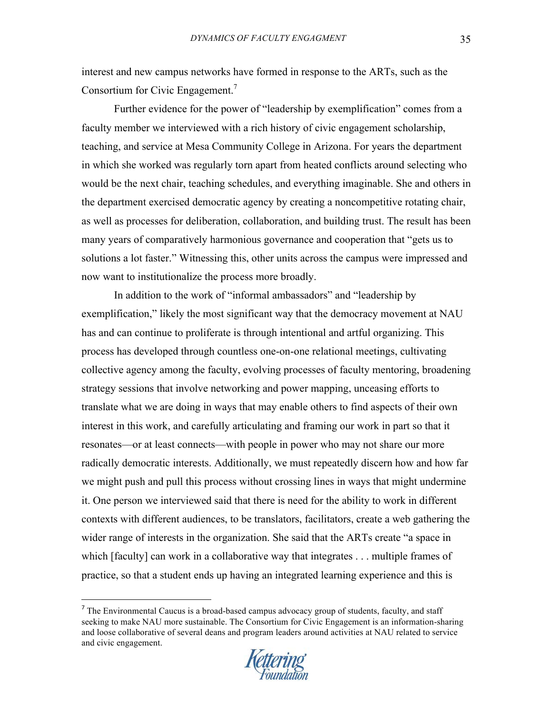interest and new campus networks have formed in response to the ARTs, such as the Consortium for Civic Engagement. $<sup>7</sup>$ </sup>

Further evidence for the power of "leadership by exemplification" comes from a faculty member we interviewed with a rich history of civic engagement scholarship, teaching, and service at Mesa Community College in Arizona. For years the department in which she worked was regularly torn apart from heated conflicts around selecting who would be the next chair, teaching schedules, and everything imaginable. She and others in the department exercised democratic agency by creating a noncompetitive rotating chair, as well as processes for deliberation, collaboration, and building trust. The result has been many years of comparatively harmonious governance and cooperation that "gets us to solutions a lot faster." Witnessing this, other units across the campus were impressed and now want to institutionalize the process more broadly.

 In addition to the work of "informal ambassadors" and "leadership by exemplification," likely the most significant way that the democracy movement at NAU has and can continue to proliferate is through intentional and artful organizing. This process has developed through countless one-on-one relational meetings, cultivating collective agency among the faculty, evolving processes of faculty mentoring, broadening strategy sessions that involve networking and power mapping, unceasing efforts to translate what we are doing in ways that may enable others to find aspects of their own interest in this work, and carefully articulating and framing our work in part so that it resonates—or at least connects—with people in power who may not share our more radically democratic interests. Additionally, we must repeatedly discern how and how far we might push and pull this process without crossing lines in ways that might undermine it. One person we interviewed said that there is need for the ability to work in different contexts with different audiences, to be translators, facilitators, create a web gathering the wider range of interests in the organization. She said that the ARTs create "a space in which [faculty] can work in a collaborative way that integrates . . . multiple frames of practice, so that a student ends up having an integrated learning experience and this is

!!!!!!!!!!!!!!!!!!!!!!!!!!!!!!!!!!!!!!!!!!!!!!!!!!!!!!!



<sup>&</sup>lt;sup>7</sup> The Environmental Caucus is a broad-based campus advocacy group of students, faculty, and staff seeking to make NAU more sustainable. The Consortium for Civic Engagement is an information-sharing and loose collaborative of several deans and program leaders around activities at NAU related to service and civic engagement.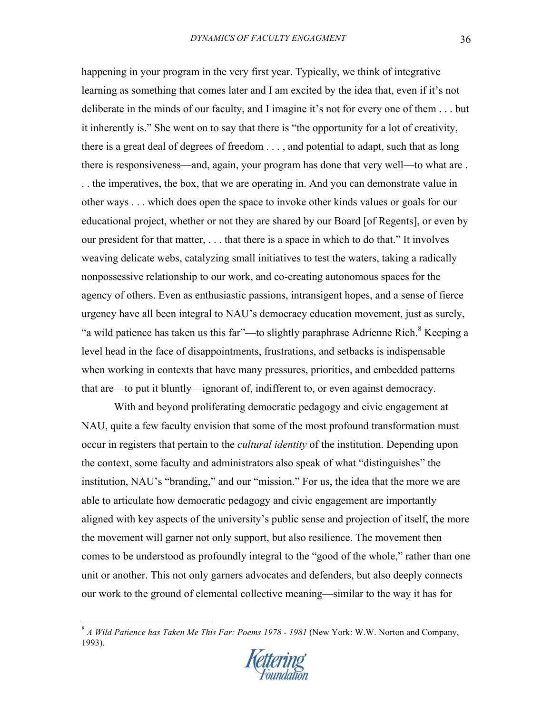happening in your program in the very first year. Typically, we think of integrative learning as something that comes later and I am excited by the idea that, even if it's not deliberate in the minds of our faculty, and I imagine it's not for every one of them . . . but it inherently is." She went on to say that there is "the opportunity for a lot of creativity, there is a great deal of degrees of freedom . . . , and potential to adapt, such that as long there is responsiveness—and, again, your program has done that very well—to what are . . . the imperatives, the box, that we are operating in. And you can demonstrate value in other ways . . . which does open the space to invoke other kinds values or goals for our educational project, whether or not they are shared by our Board [of Regents], or even by our president for that matter, . . . that there is a space in which to do that." It involves weaving delicate webs, catalyzing small initiatives to test the waters, taking a radically nonpossessive relationship to our work, and co-creating autonomous spaces for the agency of others. Even as enthusiastic passions, intransigent hopes, and a sense of fierce urgency have all been integral to NAU's democracy education movement, just as surely, "a wild patience has taken us this far"—to slightly paraphrase Adrienne Rich.8 Keeping a level head in the face of disappointments, frustrations, and setbacks is indispensable when working in contexts that have many pressures, priorities, and embedded patterns that are—to put it bluntly—ignorant of, indifferent to, or even against democracy.

 With and beyond proliferating democratic pedagogy and civic engagement at NAU, quite a few faculty envision that some of the most profound transformation must occur in registers that pertain to the *cultural identity* of the institution. Depending upon the context, some faculty and administrators also speak of what "distinguishes" the institution, NAU's "branding," and our "mission." For us, the idea that the more we are able to articulate how democratic pedagogy and civic engagement are importantly aligned with key aspects of the university's public sense and projection of itself, the more the movement will garner not only support, but also resilience. The movement then comes to be understood as profoundly integral to the "good of the whole," rather than one unit or another. This not only garners advocates and defenders, but also deeply connects our work to the ground of elemental collective meaning—similar to the way it has for

!!!!!!!!!!!!!!!!!!!!!!!!!!!!!!!!!!!!!!!!!!!!!!!!!!!!!!!



<sup>8</sup> *A Wild Patience has Taken Me This Far: Poems 1978 - 1981* (New York: W.W. Norton and Company, 1993).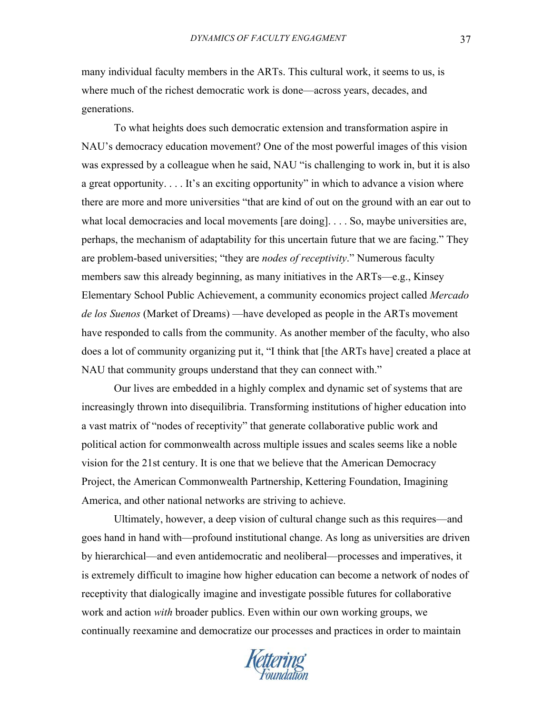many individual faculty members in the ARTs. This cultural work, it seems to us, is where much of the richest democratic work is done—across years, decades, and generations.

To what heights does such democratic extension and transformation aspire in NAU's democracy education movement? One of the most powerful images of this vision was expressed by a colleague when he said, NAU "is challenging to work in, but it is also a great opportunity. . . . It's an exciting opportunity" in which to advance a vision where there are more and more universities "that are kind of out on the ground with an ear out to what local democracies and local movements [are doing]. . . . So, maybe universities are, perhaps, the mechanism of adaptability for this uncertain future that we are facing." They are problem-based universities; "they are *nodes of receptivity*." Numerous faculty members saw this already beginning, as many initiatives in the ARTs—e.g., Kinsey Elementary School Public Achievement, a community economics project called *Mercado de los Suenos* (Market of Dreams) —have developed as people in the ARTs movement have responded to calls from the community. As another member of the faculty, who also does a lot of community organizing put it, "I think that [the ARTs have] created a place at NAU that community groups understand that they can connect with."

Our lives are embedded in a highly complex and dynamic set of systems that are increasingly thrown into disequilibria. Transforming institutions of higher education into a vast matrix of "nodes of receptivity" that generate collaborative public work and political action for commonwealth across multiple issues and scales seems like a noble vision for the 21st century. It is one that we believe that the American Democracy Project, the American Commonwealth Partnership, Kettering Foundation, Imagining America, and other national networks are striving to achieve.

Ultimately, however, a deep vision of cultural change such as this requires—and goes hand in hand with—profound institutional change. As long as universities are driven by hierarchical—and even antidemocratic and neoliberal—processes and imperatives, it is extremely difficult to imagine how higher education can become a network of nodes of receptivity that dialogically imagine and investigate possible futures for collaborative work and action *with* broader publics. Even within our own working groups, we continually reexamine and democratize our processes and practices in order to maintain

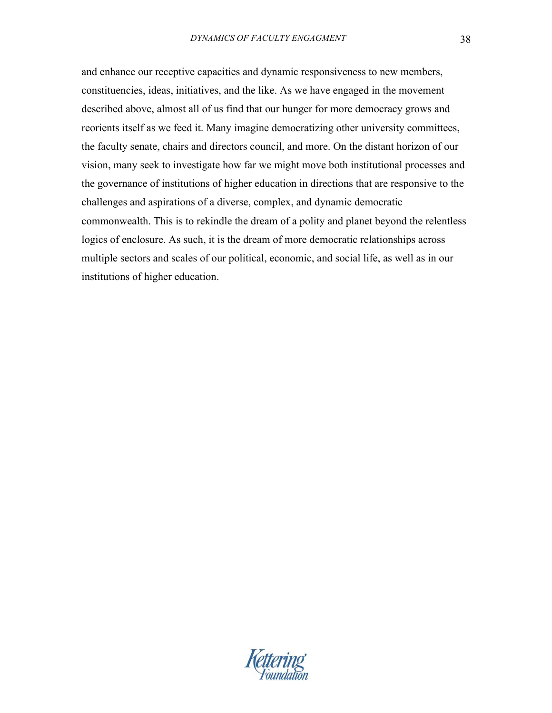and enhance our receptive capacities and dynamic responsiveness to new members, constituencies, ideas, initiatives, and the like. As we have engaged in the movement described above, almost all of us find that our hunger for more democracy grows and reorients itself as we feed it. Many imagine democratizing other university committees, the faculty senate, chairs and directors council, and more. On the distant horizon of our vision, many seek to investigate how far we might move both institutional processes and the governance of institutions of higher education in directions that are responsive to the challenges and aspirations of a diverse, complex, and dynamic democratic commonwealth. This is to rekindle the dream of a polity and planet beyond the relentless logics of enclosure. As such, it is the dream of more democratic relationships across multiple sectors and scales of our political, economic, and social life, as well as in our institutions of higher education.

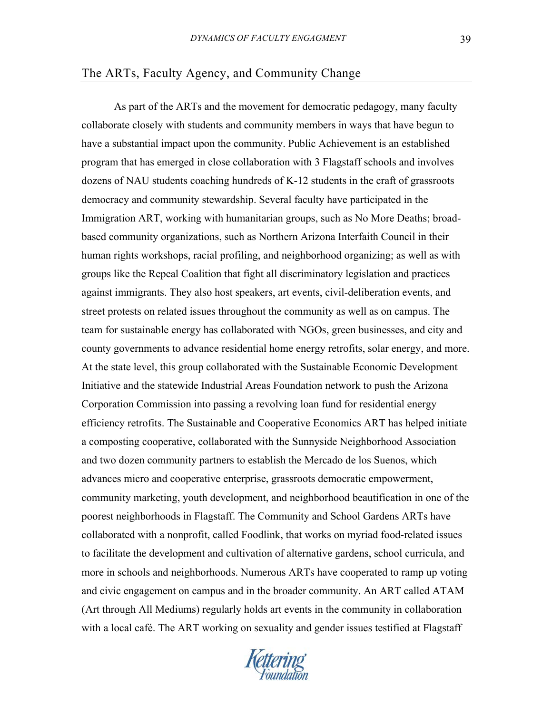# The ARTs, Faculty Agency, and Community Change

As part of the ARTs and the movement for democratic pedagogy, many faculty collaborate closely with students and community members in ways that have begun to have a substantial impact upon the community. Public Achievement is an established program that has emerged in close collaboration with 3 Flagstaff schools and involves dozens of NAU students coaching hundreds of K-12 students in the craft of grassroots democracy and community stewardship. Several faculty have participated in the Immigration ART, working with humanitarian groups, such as No More Deaths; broadbased community organizations, such as Northern Arizona Interfaith Council in their human rights workshops, racial profiling, and neighborhood organizing; as well as with groups like the Repeal Coalition that fight all discriminatory legislation and practices against immigrants. They also host speakers, art events, civil-deliberation events, and street protests on related issues throughout the community as well as on campus. The team for sustainable energy has collaborated with NGOs, green businesses, and city and county governments to advance residential home energy retrofits, solar energy, and more. At the state level, this group collaborated with the Sustainable Economic Development Initiative and the statewide Industrial Areas Foundation network to push the Arizona Corporation Commission into passing a revolving loan fund for residential energy efficiency retrofits. The Sustainable and Cooperative Economics ART has helped initiate a composting cooperative, collaborated with the Sunnyside Neighborhood Association and two dozen community partners to establish the Mercado de los Suenos, which advances micro and cooperative enterprise, grassroots democratic empowerment, community marketing, youth development, and neighborhood beautification in one of the poorest neighborhoods in Flagstaff. The Community and School Gardens ARTs have collaborated with a nonprofit, called Foodlink, that works on myriad food-related issues to facilitate the development and cultivation of alternative gardens, school curricula, and more in schools and neighborhoods. Numerous ARTs have cooperated to ramp up voting and civic engagement on campus and in the broader community. An ART called ATAM (Art through All Mediums) regularly holds art events in the community in collaboration with a local café. The ART working on sexuality and gender issues testified at Flagstaff

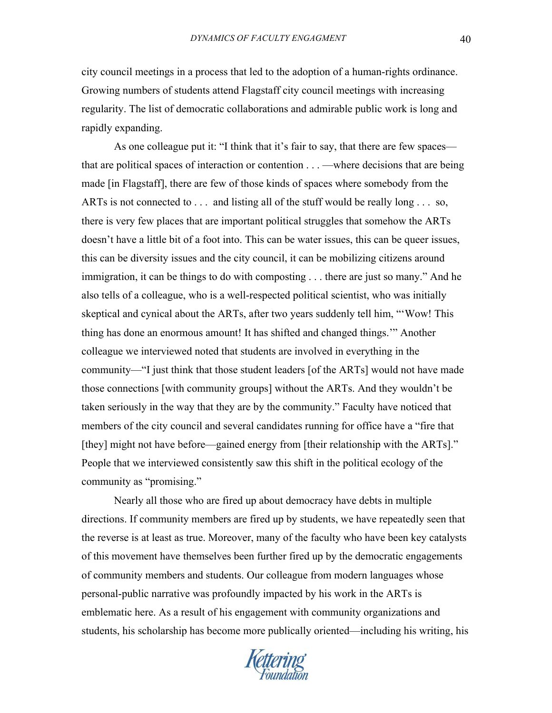city council meetings in a process that led to the adoption of a human-rights ordinance. Growing numbers of students attend Flagstaff city council meetings with increasing regularity. The list of democratic collaborations and admirable public work is long and rapidly expanding.

 As one colleague put it: "I think that it's fair to say, that there are few spaces that are political spaces of interaction or contention . . . —where decisions that are being made [in Flagstaff], there are few of those kinds of spaces where somebody from the ARTs is not connected to . . . and listing all of the stuff would be really long . . . so, there is very few places that are important political struggles that somehow the ARTs doesn't have a little bit of a foot into. This can be water issues, this can be queer issues, this can be diversity issues and the city council, it can be mobilizing citizens around immigration, it can be things to do with composting . . . there are just so many." And he also tells of a colleague, who is a well-respected political scientist, who was initially skeptical and cynical about the ARTs, after two years suddenly tell him, "'Wow! This thing has done an enormous amount! It has shifted and changed things.'" Another colleague we interviewed noted that students are involved in everything in the community—"I just think that those student leaders [of the ARTs] would not have made those connections [with community groups] without the ARTs. And they wouldn't be taken seriously in the way that they are by the community." Faculty have noticed that members of the city council and several candidates running for office have a "fire that [they] might not have before—gained energy from [their relationship with the ARTs]." People that we interviewed consistently saw this shift in the political ecology of the community as "promising."

 Nearly all those who are fired up about democracy have debts in multiple directions. If community members are fired up by students, we have repeatedly seen that the reverse is at least as true. Moreover, many of the faculty who have been key catalysts of this movement have themselves been further fired up by the democratic engagements of community members and students. Our colleague from modern languages whose personal-public narrative was profoundly impacted by his work in the ARTs is emblematic here. As a result of his engagement with community organizations and students, his scholarship has become more publically oriented—including his writing, his

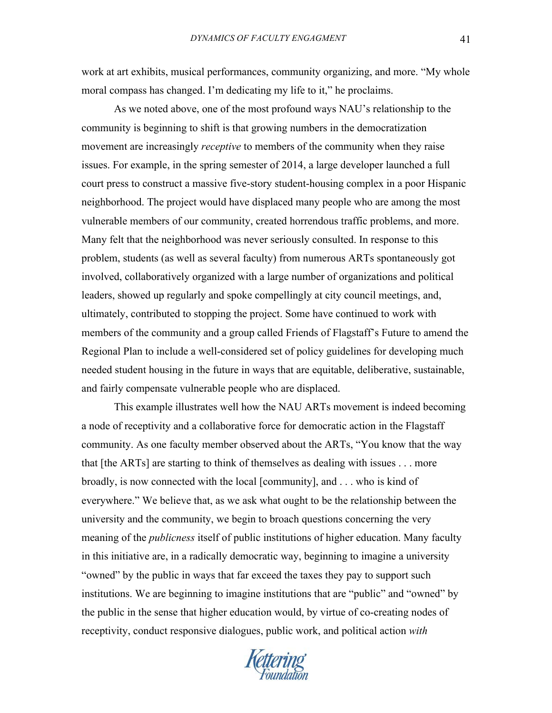work at art exhibits, musical performances, community organizing, and more. "My whole moral compass has changed. I'm dedicating my life to it," he proclaims.

 As we noted above, one of the most profound ways NAU's relationship to the community is beginning to shift is that growing numbers in the democratization movement are increasingly *receptive* to members of the community when they raise issues. For example, in the spring semester of 2014, a large developer launched a full court press to construct a massive five-story student-housing complex in a poor Hispanic neighborhood. The project would have displaced many people who are among the most vulnerable members of our community, created horrendous traffic problems, and more. Many felt that the neighborhood was never seriously consulted. In response to this problem, students (as well as several faculty) from numerous ARTs spontaneously got involved, collaboratively organized with a large number of organizations and political leaders, showed up regularly and spoke compellingly at city council meetings, and, ultimately, contributed to stopping the project. Some have continued to work with members of the community and a group called Friends of Flagstaff's Future to amend the Regional Plan to include a well-considered set of policy guidelines for developing much needed student housing in the future in ways that are equitable, deliberative, sustainable, and fairly compensate vulnerable people who are displaced.

 This example illustrates well how the NAU ARTs movement is indeed becoming a node of receptivity and a collaborative force for democratic action in the Flagstaff community. As one faculty member observed about the ARTs, "You know that the way that [the ARTs] are starting to think of themselves as dealing with issues . . . more broadly, is now connected with the local [community], and . . . who is kind of everywhere." We believe that, as we ask what ought to be the relationship between the university and the community, we begin to broach questions concerning the very meaning of the *publicness* itself of public institutions of higher education. Many faculty in this initiative are, in a radically democratic way, beginning to imagine a university "owned" by the public in ways that far exceed the taxes they pay to support such institutions. We are beginning to imagine institutions that are "public" and "owned" by the public in the sense that higher education would, by virtue of co-creating nodes of receptivity, conduct responsive dialogues, public work, and political action *with*

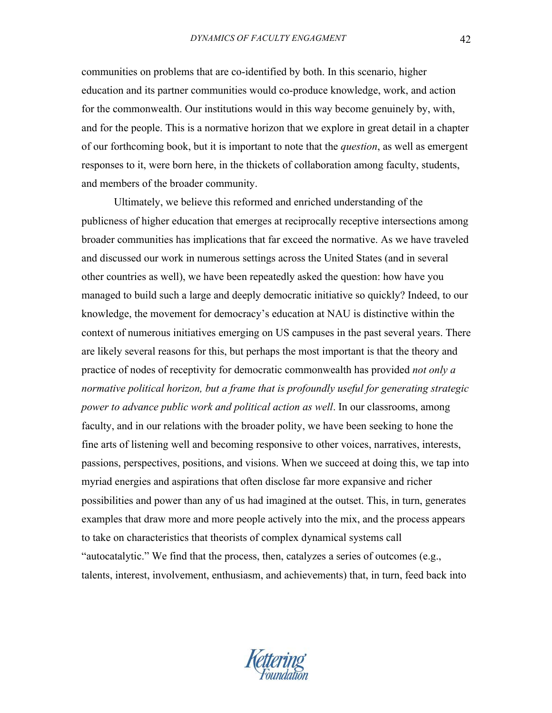communities on problems that are co-identified by both. In this scenario, higher education and its partner communities would co-produce knowledge, work, and action for the commonwealth. Our institutions would in this way become genuinely by, with, and for the people. This is a normative horizon that we explore in great detail in a chapter of our forthcoming book, but it is important to note that the *question*, as well as emergent responses to it, were born here, in the thickets of collaboration among faculty, students, and members of the broader community.

Ultimately, we believe this reformed and enriched understanding of the publicness of higher education that emerges at reciprocally receptive intersections among broader communities has implications that far exceed the normative. As we have traveled and discussed our work in numerous settings across the United States (and in several other countries as well), we have been repeatedly asked the question: how have you managed to build such a large and deeply democratic initiative so quickly? Indeed, to our knowledge, the movement for democracy's education at NAU is distinctive within the context of numerous initiatives emerging on US campuses in the past several years. There are likely several reasons for this, but perhaps the most important is that the theory and practice of nodes of receptivity for democratic commonwealth has provided *not only a normative political horizon, but a frame that is profoundly useful for generating strategic power to advance public work and political action as well*. In our classrooms, among faculty, and in our relations with the broader polity, we have been seeking to hone the fine arts of listening well and becoming responsive to other voices, narratives, interests, passions, perspectives, positions, and visions. When we succeed at doing this, we tap into myriad energies and aspirations that often disclose far more expansive and richer possibilities and power than any of us had imagined at the outset. This, in turn, generates examples that draw more and more people actively into the mix, and the process appears to take on characteristics that theorists of complex dynamical systems call "autocatalytic." We find that the process, then, catalyzes a series of outcomes (e.g., talents, interest, involvement, enthusiasm, and achievements) that, in turn, feed back into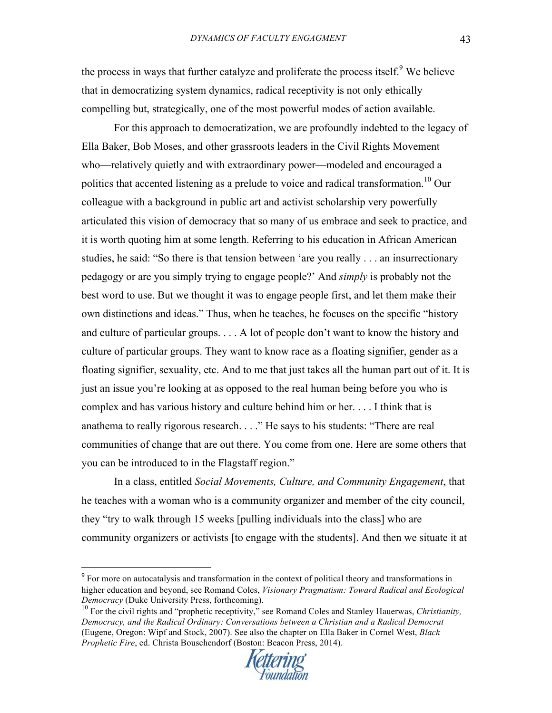the process in ways that further catalyze and proliferate the process itself.<sup>9</sup> We believe that in democratizing system dynamics, radical receptivity is not only ethically compelling but, strategically, one of the most powerful modes of action available.

For this approach to democratization, we are profoundly indebted to the legacy of Ella Baker, Bob Moses, and other grassroots leaders in the Civil Rights Movement who—relatively quietly and with extraordinary power—modeled and encouraged a politics that accented listening as a prelude to voice and radical transformation.<sup>10</sup> Our colleague with a background in public art and activist scholarship very powerfully articulated this vision of democracy that so many of us embrace and seek to practice, and it is worth quoting him at some length. Referring to his education in African American studies, he said: "So there is that tension between 'are you really . . . an insurrectionary pedagogy or are you simply trying to engage people?' And *simply* is probably not the best word to use. But we thought it was to engage people first, and let them make their own distinctions and ideas." Thus, when he teaches, he focuses on the specific "history and culture of particular groups. . . . A lot of people don't want to know the history and culture of particular groups. They want to know race as a floating signifier, gender as a floating signifier, sexuality, etc. And to me that just takes all the human part out of it. It is just an issue you're looking at as opposed to the real human being before you who is complex and has various history and culture behind him or her. . . . I think that is anathema to really rigorous research. . . ." He says to his students: "There are real communities of change that are out there. You come from one. Here are some others that you can be introduced to in the Flagstaff region."

In a class, entitled *Social Movements, Culture, and Community Engagement*, that he teaches with a woman who is a community organizer and member of the city council, they "try to walk through 15 weeks [pulling individuals into the class] who are community organizers or activists [to engage with the students]. And then we situate it at

!!!!!!!!!!!!!!!!!!!!!!!!!!!!!!!!!!!!!!!!!!!!!!!!!!!!!!!

<sup>&</sup>lt;sup>10</sup> For the civil rights and "prophetic receptivity," see Romand Coles and Stanley Hauerwas, *Christianity*, *Democracy, and the Radical Ordinary: Conversations between a Christian and a Radical Democrat* (Eugene, Oregon: Wipf and Stock, 2007). See also the chapter on Ella Baker in Cornel West, *Black Prophetic Fire*, ed. Christa Bouschendorf (Boston: Beacon Press, 2014).



<sup>&</sup>lt;sup>9</sup> For more on autocatalysis and transformation in the context of political theory and transformations in higher education and beyond, see Romand Coles, *Visionary Pragmatism: Toward Radical and Ecological Democracy* (Duke University Press, forthcoming).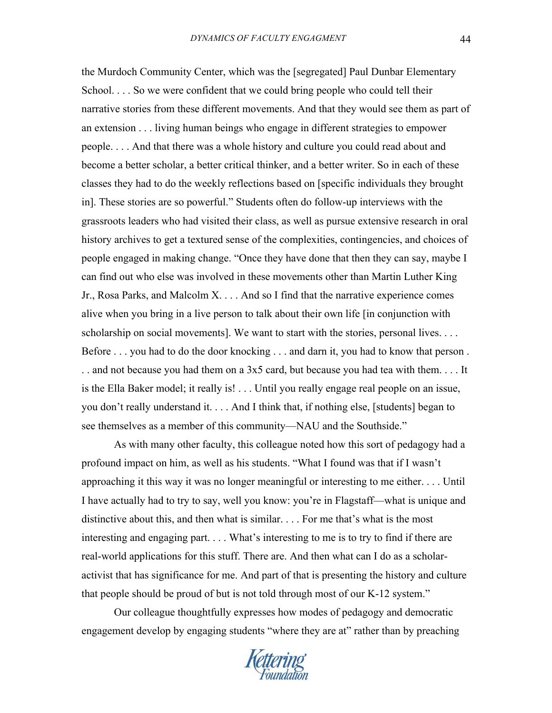the Murdoch Community Center, which was the [segregated] Paul Dunbar Elementary School. . . . So we were confident that we could bring people who could tell their narrative stories from these different movements. And that they would see them as part of an extension . . . living human beings who engage in different strategies to empower people. . . . And that there was a whole history and culture you could read about and become a better scholar, a better critical thinker, and a better writer. So in each of these classes they had to do the weekly reflections based on [specific individuals they brought in]. These stories are so powerful." Students often do follow-up interviews with the grassroots leaders who had visited their class, as well as pursue extensive research in oral history archives to get a textured sense of the complexities, contingencies, and choices of people engaged in making change. "Once they have done that then they can say, maybe I can find out who else was involved in these movements other than Martin Luther King Jr., Rosa Parks, and Malcolm X. . . . And so I find that the narrative experience comes alive when you bring in a live person to talk about their own life [in conjunction with scholarship on social movements]. We want to start with the stories, personal lives. . . . Before . . . you had to do the door knocking . . . and darn it, you had to know that person . . . and not because you had them on a 3x5 card, but because you had tea with them. . . . It is the Ella Baker model; it really is! . . . Until you really engage real people on an issue, you don't really understand it. . . . And I think that, if nothing else, [students] began to see themselves as a member of this community—NAU and the Southside."

As with many other faculty, this colleague noted how this sort of pedagogy had a profound impact on him, as well as his students. "What I found was that if I wasn't approaching it this way it was no longer meaningful or interesting to me either. . . . Until I have actually had to try to say, well you know: you're in Flagstaff—what is unique and distinctive about this, and then what is similar. . . . For me that's what is the most interesting and engaging part. . . . What's interesting to me is to try to find if there are real-world applications for this stuff. There are. And then what can I do as a scholaractivist that has significance for me. And part of that is presenting the history and culture that people should be proud of but is not told through most of our K-12 system."

Our colleague thoughtfully expresses how modes of pedagogy and democratic engagement develop by engaging students "where they are at" rather than by preaching

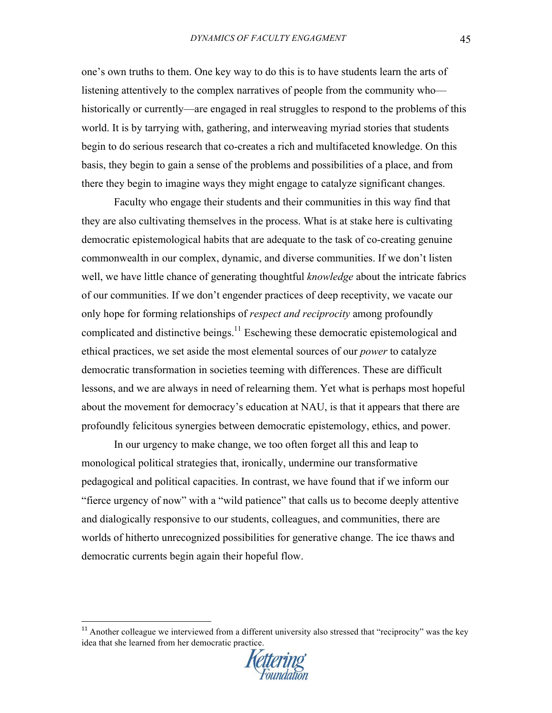one's own truths to them. One key way to do this is to have students learn the arts of listening attentively to the complex narratives of people from the community who historically or currently—are engaged in real struggles to respond to the problems of this world. It is by tarrying with, gathering, and interweaving myriad stories that students begin to do serious research that co-creates a rich and multifaceted knowledge. On this basis, they begin to gain a sense of the problems and possibilities of a place, and from there they begin to imagine ways they might engage to catalyze significant changes.

Faculty who engage their students and their communities in this way find that they are also cultivating themselves in the process. What is at stake here is cultivating democratic epistemological habits that are adequate to the task of co-creating genuine commonwealth in our complex, dynamic, and diverse communities. If we don't listen well, we have little chance of generating thoughtful *knowledge* about the intricate fabrics of our communities. If we don't engender practices of deep receptivity, we vacate our only hope for forming relationships of *respect and reciprocity* among profoundly complicated and distinctive beings.<sup>11</sup> Eschewing these democratic epistemological and ethical practices, we set aside the most elemental sources of our *power* to catalyze democratic transformation in societies teeming with differences. These are difficult lessons, and we are always in need of relearning them. Yet what is perhaps most hopeful about the movement for democracy's education at NAU, is that it appears that there are profoundly felicitous synergies between democratic epistemology, ethics, and power.

In our urgency to make change, we too often forget all this and leap to monological political strategies that, ironically, undermine our transformative pedagogical and political capacities. In contrast, we have found that if we inform our "fierce urgency of now" with a "wild patience" that calls us to become deeply attentive and dialogically responsive to our students, colleagues, and communities, there are worlds of hitherto unrecognized possibilities for generative change. The ice thaws and democratic currents begin again their hopeful flow.

 $11$  Another colleague we interviewed from a different university also stressed that "reciprocity" was the key idea that she learned from her democratic practice.